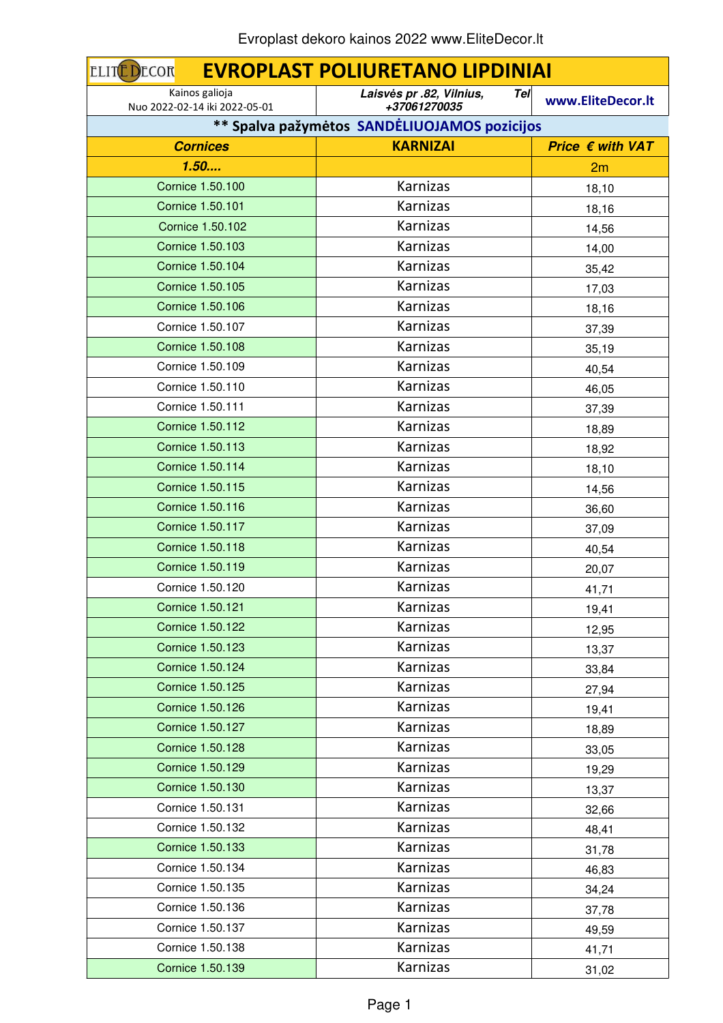| <b>EVROPLAST POLIURETANO LIPDINIAI</b><br>ECOR<br><b>ELIT</b> |                                                 |                           |
|---------------------------------------------------------------|-------------------------------------------------|---------------------------|
| Kainos galioja<br>Nuo 2022-02-14 iki 2022-05-01               | Tel<br>Laisvės pr .82, Vilnius,<br>+37061270035 | www.EliteDecor.lt         |
|                                                               | ** Spalva pažymėtos SANDĖLIUOJAMOS pozicijos    |                           |
| <b>Cornices</b>                                               | <b>KARNIZAI</b>                                 | Price $\epsilon$ with VAT |
| 1.50                                                          |                                                 | 2m                        |
| Cornice 1.50.100                                              | Karnizas                                        | 18,10                     |
| <b>Cornice 1.50.101</b>                                       | Karnizas                                        | 18,16                     |
| Cornice 1.50.102                                              | Karnizas                                        | 14,56                     |
| Cornice 1.50.103                                              | Karnizas                                        | 14,00                     |
| <b>Cornice 1.50.104</b>                                       | Karnizas                                        | 35,42                     |
| Cornice 1.50.105                                              | Karnizas                                        | 17,03                     |
| Cornice 1.50.106                                              | Karnizas                                        | 18,16                     |
| Cornice 1.50.107                                              | Karnizas                                        | 37,39                     |
| <b>Cornice 1.50.108</b>                                       | Karnizas                                        | 35,19                     |
| Cornice 1.50.109                                              | Karnizas                                        | 40,54                     |
| Cornice 1.50.110                                              | Karnizas                                        | 46,05                     |
| Cornice 1.50.111                                              | Karnizas                                        | 37,39                     |
| <b>Cornice 1.50.112</b>                                       | Karnizas                                        | 18,89                     |
| <b>Cornice 1.50.113</b>                                       | Karnizas                                        | 18,92                     |
| <b>Cornice 1.50.114</b>                                       | Karnizas                                        | 18,10                     |
| <b>Cornice 1.50.115</b>                                       | Karnizas                                        | 14,56                     |
| <b>Cornice 1.50.116</b>                                       | Karnizas                                        | 36,60                     |
| Cornice 1.50.117                                              | Karnizas                                        | 37,09                     |
| <b>Cornice 1.50.118</b>                                       | <b>Karnizas</b>                                 | 40,54                     |
| <b>Cornice 1.50.119</b>                                       | Karnizas                                        | 20,07                     |
| Cornice 1.50.120                                              | Karnizas                                        | 41,71                     |
| Cornice 1.50.121                                              | Karnizas                                        | 19,41                     |
| Cornice 1.50.122                                              | Karnizas                                        | 12,95                     |
| Cornice 1.50.123                                              | Karnizas                                        | 13,37                     |
| Cornice 1.50.124                                              | Karnizas                                        | 33,84                     |
| Cornice 1.50.125                                              | Karnizas                                        | 27,94                     |
| Cornice 1.50.126                                              | Karnizas                                        | 19,41                     |
| Cornice 1.50.127                                              | Karnizas                                        | 18,89                     |
| <b>Cornice 1.50.128</b>                                       | Karnizas                                        | 33,05                     |
| Cornice 1.50.129                                              | Karnizas                                        | 19,29                     |
| Cornice 1.50.130                                              | Karnizas                                        | 13,37                     |
| Cornice 1.50.131                                              | Karnizas                                        | 32,66                     |
| Cornice 1.50.132                                              | Karnizas                                        | 48,41                     |
| Cornice 1.50.133                                              | Karnizas                                        | 31,78                     |
| Cornice 1.50.134                                              | Karnizas                                        | 46,83                     |
| Cornice 1.50.135                                              | Karnizas                                        | 34,24                     |
| Cornice 1.50.136                                              | Karnizas                                        | 37,78                     |
| Cornice 1.50.137                                              | Karnizas                                        | 49,59                     |
| Cornice 1.50.138                                              | Karnizas                                        | 41,71                     |
| Cornice 1.50.139                                              | Karnizas                                        | 31,02                     |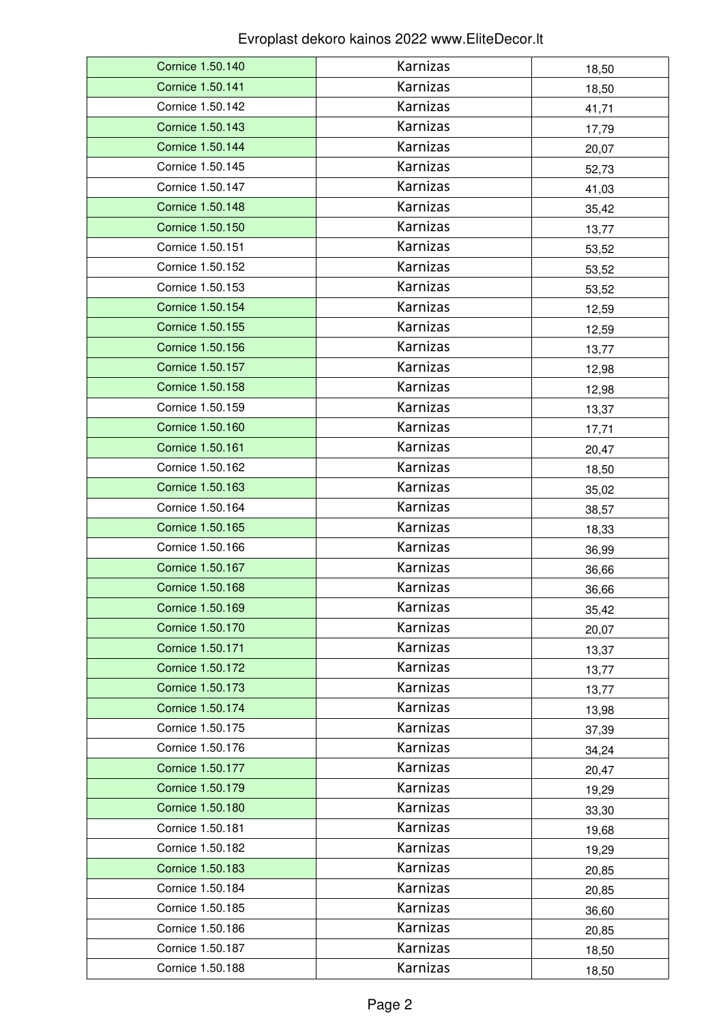| Cornice 1.50.140        | Karnizas | 18,50 |
|-------------------------|----------|-------|
| Cornice 1.50.141        | Karnizas | 18,50 |
| Cornice 1.50.142        | Karnizas | 41,71 |
| Cornice 1.50.143        | Karnizas | 17,79 |
| Cornice 1.50.144        | Karnizas | 20,07 |
| Cornice 1.50.145        | Karnizas | 52,73 |
| Cornice 1.50.147        | Karnizas | 41,03 |
| <b>Cornice 1.50.148</b> | Karnizas | 35,42 |
| Cornice 1.50.150        | Karnizas | 13,77 |
| Cornice 1.50.151        | Karnizas | 53,52 |
| Cornice 1.50.152        | Karnizas | 53,52 |
| Cornice 1.50.153        | Karnizas | 53,52 |
| Cornice 1.50.154        | Karnizas | 12,59 |
| Cornice 1.50.155        | Karnizas | 12,59 |
| Cornice 1.50.156        | Karnizas | 13,77 |
| Cornice 1.50.157        | Karnizas | 12,98 |
| Cornice 1.50.158        | Karnizas | 12,98 |
| Cornice 1.50.159        | Karnizas | 13,37 |
| Cornice 1.50.160        | Karnizas | 17,71 |
| Cornice 1.50.161        | Karnizas | 20,47 |
| Cornice 1.50.162        | Karnizas | 18,50 |
| Cornice 1.50.163        | Karnizas | 35,02 |
| Cornice 1.50.164        | Karnizas | 38,57 |
| Cornice 1.50.165        | Karnizas | 18,33 |
| Cornice 1.50.166        | Karnizas | 36,99 |
| Cornice 1.50.167        | Karnizas | 36,66 |
| <b>Cornice 1.50.168</b> | Karnizas | 36,66 |
| Cornice 1.50.169        | Karnizas | 35,42 |
| Cornice 1.50.170        | Karnizas | 20,07 |
| Cornice 1.50.171        | Karnizas | 13,37 |
| Cornice 1.50.172        | Karnizas | 13,77 |
| Cornice 1.50.173        | Karnizas | 13,77 |
| Cornice 1.50.174        | Karnizas | 13,98 |
| Cornice 1.50.175        | Karnizas | 37,39 |
| Cornice 1.50.176        | Karnizas | 34,24 |
| Cornice 1.50.177        | Karnizas | 20,47 |
| Cornice 1.50.179        | Karnizas | 19,29 |
| Cornice 1.50.180        | Karnizas | 33,30 |
| Cornice 1.50.181        | Karnizas | 19,68 |
| Cornice 1.50.182        | Karnizas | 19,29 |
| Cornice 1.50.183        | Karnizas | 20,85 |
| Cornice 1.50.184        | Karnizas | 20,85 |
| Cornice 1.50.185        | Karnizas | 36,60 |
| Cornice 1.50.186        | Karnizas | 20,85 |
| Cornice 1.50.187        | Karnizas | 18,50 |
| Cornice 1.50.188        | Karnizas | 18,50 |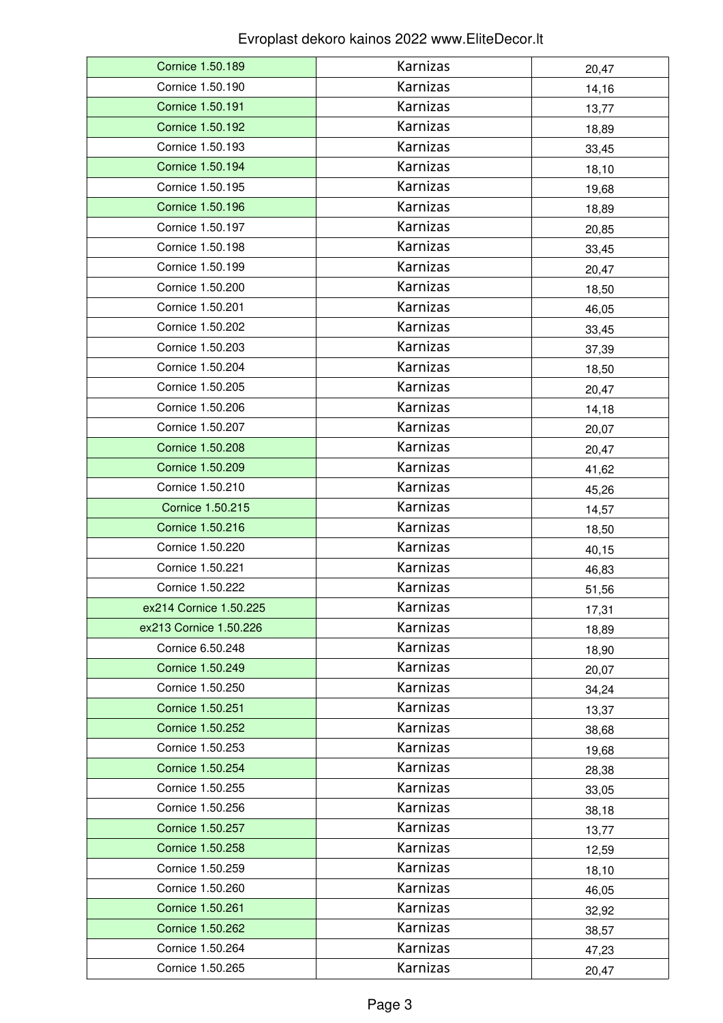| Cornice 1.50.189        | Karnizas             |                |
|-------------------------|----------------------|----------------|
| Cornice 1.50.190        | Karnizas             | 20,47<br>14,16 |
| <b>Cornice 1.50.191</b> | Karnizas             | 13,77          |
| Cornice 1.50.192        | Karnizas             |                |
| Cornice 1.50.193        | Karnizas             | 18,89          |
| Cornice 1.50.194        | Karnizas             | 33,45          |
|                         |                      | 18,10          |
| Cornice 1.50.195        | Karnizas<br>Karnizas | 19,68          |
| Cornice 1.50.196        |                      | 18,89          |
| Cornice 1.50.197        | Karnizas             | 20,85          |
| Cornice 1.50.198        | Karnizas             | 33,45          |
| Cornice 1.50.199        | Karnizas             | 20,47          |
| Cornice 1.50.200        | Karnizas             | 18,50          |
| Cornice 1.50.201        | Karnizas             | 46,05          |
| Cornice 1.50.202        | Karnizas             | 33,45          |
| Cornice 1.50.203        | Karnizas             | 37,39          |
| Cornice 1.50.204        | Karnizas             | 18,50          |
| Cornice 1.50.205        | Karnizas             | 20,47          |
| Cornice 1.50.206        | Karnizas             | 14,18          |
| Cornice 1.50.207        | Karnizas             | 20,07          |
| Cornice 1.50.208        | Karnizas             | 20,47          |
| Cornice 1.50.209        | Karnizas             | 41,62          |
| Cornice 1.50.210        | Karnizas             | 45,26          |
| Cornice 1.50.215        | Karnizas             | 14,57          |
| <b>Cornice 1.50.216</b> | Karnizas             | 18,50          |
| Cornice 1.50.220        | Karnizas             | 40,15          |
| Cornice 1.50.221        | Karnizas             | 46,83          |
| Cornice 1.50.222        | Karnizas             | 51,56          |
| ex214 Cornice 1.50.225  | Karnizas             | 17,31          |
| ex213 Cornice 1.50.226  | Karnizas             | 18,89          |
| Cornice 6.50.248        | Karnizas             | 18,90          |
| Cornice 1.50.249        | Karnizas             | 20,07          |
| Cornice 1.50.250        | Karnizas             | 34,24          |
| Cornice 1.50.251        | Karnizas             | 13,37          |
| Cornice 1.50.252        | Karnizas             | 38,68          |
| Cornice 1.50.253        | Karnizas             | 19,68          |
| Cornice 1.50.254        | Karnizas             | 28,38          |
| Cornice 1.50.255        | Karnizas             | 33,05          |
| Cornice 1.50.256        | Karnizas             | 38,18          |
| Cornice 1.50.257        | Karnizas             | 13,77          |
| Cornice 1.50.258        | Karnizas             | 12,59          |
| Cornice 1.50.259        | Karnizas             | 18,10          |
| Cornice 1.50.260        | Karnizas             | 46,05          |
| Cornice 1.50.261        | Karnizas             | 32,92          |
| Cornice 1.50.262        | Karnizas             | 38,57          |
| Cornice 1.50.264        | Karnizas             | 47,23          |
| Cornice 1.50.265        | Karnizas             | 20,47          |
|                         |                      |                |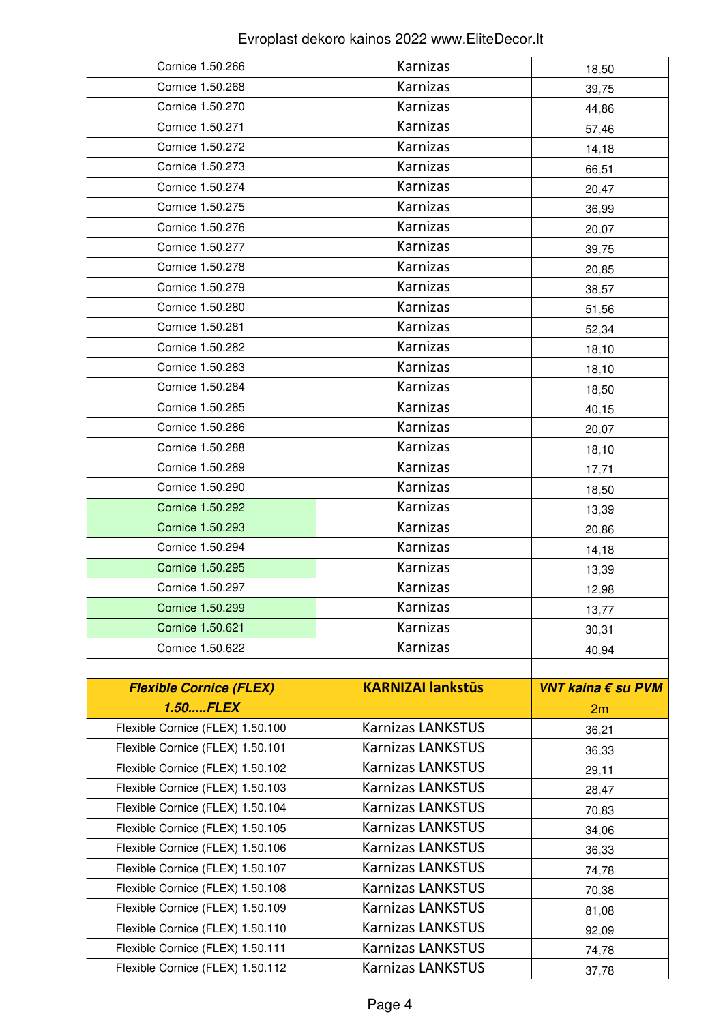| Cornice 1.50.266                                                     | Karnizas                                             | 18,50              |
|----------------------------------------------------------------------|------------------------------------------------------|--------------------|
| Cornice 1.50.268                                                     | Karnizas                                             | 39,75              |
| Cornice 1.50.270                                                     | Karnizas                                             | 44,86              |
| Cornice 1.50.271                                                     | Karnizas                                             | 57,46              |
| Cornice 1.50.272                                                     | Karnizas                                             | 14,18              |
| Cornice 1.50.273                                                     | Karnizas                                             | 66,51              |
| Cornice 1.50.274                                                     | Karnizas                                             | 20,47              |
| Cornice 1.50.275                                                     | Karnizas                                             | 36,99              |
| Cornice 1.50.276                                                     | Karnizas                                             | 20,07              |
| Cornice 1.50.277                                                     | Karnizas                                             | 39,75              |
| Cornice 1.50.278                                                     | Karnizas                                             | 20,85              |
| Cornice 1.50.279                                                     | Karnizas                                             | 38,57              |
| Cornice 1.50.280                                                     | Karnizas                                             | 51,56              |
| Cornice 1.50.281                                                     | Karnizas                                             | 52,34              |
| Cornice 1.50.282                                                     | Karnizas                                             | 18,10              |
| Cornice 1.50.283                                                     | Karnizas                                             | 18,10              |
| Cornice 1.50.284                                                     | Karnizas                                             | 18,50              |
| Cornice 1.50.285                                                     | Karnizas                                             | 40,15              |
| Cornice 1.50.286                                                     | Karnizas                                             | 20,07              |
| Cornice 1.50.288                                                     | Karnizas                                             | 18,10              |
| Cornice 1.50.289                                                     | Karnizas                                             | 17,71              |
| Cornice 1.50.290                                                     | Karnizas                                             | 18,50              |
| Cornice 1.50.292                                                     | Karnizas                                             | 13,39              |
| Cornice 1.50.293                                                     | Karnizas                                             | 20,86              |
| Cornice 1.50.294                                                     | Karnizas                                             | 14,18              |
| Cornice 1.50.295                                                     | Karnizas                                             | 13,39              |
| Cornice 1.50.297                                                     | Karnizas                                             | 12,98              |
| Cornice 1.50.299                                                     | Karnizas                                             | 13,77              |
| Cornice 1.50.621                                                     | Karnizas                                             | 30,31              |
| Cornice 1.50.622                                                     | Karnizas                                             | 40,94              |
|                                                                      |                                                      |                    |
| <b>Flexible Cornice (FLEX)</b>                                       | <b>KARNIZAI lankstūs</b>                             | VNT kaina € su PVM |
| 1.50FLEX                                                             |                                                      | 2m                 |
| Flexible Cornice (FLEX) 1.50.100                                     | <b>Karnizas LANKSTUS</b>                             | 36,21              |
| Flexible Cornice (FLEX) 1.50.101                                     | <b>Karnizas LANKSTUS</b>                             | 36,33              |
| Flexible Cornice (FLEX) 1.50.102                                     | <b>Karnizas LANKSTUS</b>                             | 29,11              |
| Flexible Cornice (FLEX) 1.50.103                                     | <b>Karnizas LANKSTUS</b>                             | 28,47              |
| Flexible Cornice (FLEX) 1.50.104                                     | <b>Karnizas LANKSTUS</b>                             | 70,83              |
| Flexible Cornice (FLEX) 1.50.105                                     | <b>Karnizas LANKSTUS</b>                             |                    |
| Flexible Cornice (FLEX) 1.50.106                                     |                                                      | 34,06              |
|                                                                      | <b>Karnizas LANKSTUS</b>                             | 36,33              |
| Flexible Cornice (FLEX) 1.50.107                                     | <b>Karnizas LANKSTUS</b>                             | 74,78              |
| Flexible Cornice (FLEX) 1.50.108                                     | <b>Karnizas LANKSTUS</b>                             | 70,38              |
| Flexible Cornice (FLEX) 1.50.109                                     | <b>Karnizas LANKSTUS</b>                             | 81,08              |
| Flexible Cornice (FLEX) 1.50.110                                     | <b>Karnizas LANKSTUS</b>                             | 92,09              |
| Flexible Cornice (FLEX) 1.50.111<br>Flexible Cornice (FLEX) 1.50.112 | <b>Karnizas LANKSTUS</b><br><b>Karnizas LANKSTUS</b> | 74,78              |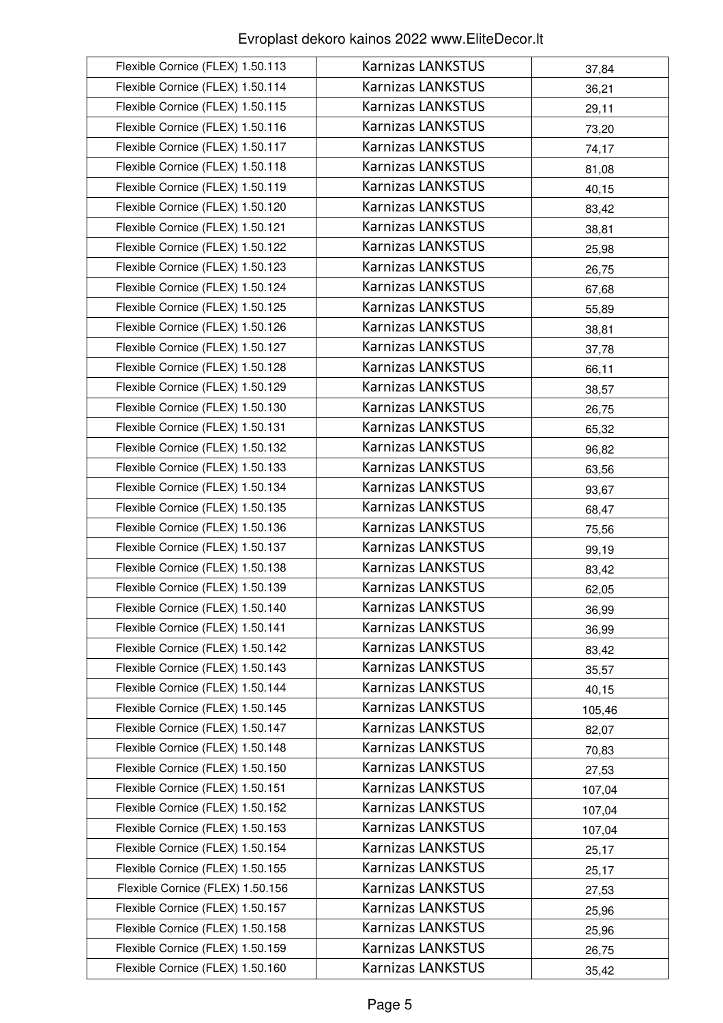| Flexible Cornice (FLEX) 1.50.113 | <b>Karnizas LANKSTUS</b> | 37,84  |
|----------------------------------|--------------------------|--------|
| Flexible Cornice (FLEX) 1.50.114 | <b>Karnizas LANKSTUS</b> | 36,21  |
| Flexible Cornice (FLEX) 1.50.115 | <b>Karnizas LANKSTUS</b> | 29,11  |
| Flexible Cornice (FLEX) 1.50.116 | <b>Karnizas LANKSTUS</b> | 73,20  |
| Flexible Cornice (FLEX) 1.50.117 | <b>Karnizas LANKSTUS</b> | 74,17  |
| Flexible Cornice (FLEX) 1.50.118 | <b>Karnizas LANKSTUS</b> | 81,08  |
| Flexible Cornice (FLEX) 1.50.119 | <b>Karnizas LANKSTUS</b> | 40,15  |
| Flexible Cornice (FLEX) 1.50.120 | <b>Karnizas LANKSTUS</b> | 83,42  |
| Flexible Cornice (FLEX) 1.50.121 | <b>Karnizas LANKSTUS</b> | 38,81  |
| Flexible Cornice (FLEX) 1.50.122 | <b>Karnizas LANKSTUS</b> | 25,98  |
| Flexible Cornice (FLEX) 1.50.123 | <b>Karnizas LANKSTUS</b> | 26,75  |
| Flexible Cornice (FLEX) 1.50.124 | <b>Karnizas LANKSTUS</b> | 67,68  |
| Flexible Cornice (FLEX) 1.50.125 | <b>Karnizas LANKSTUS</b> | 55,89  |
| Flexible Cornice (FLEX) 1.50.126 | <b>Karnizas LANKSTUS</b> | 38,81  |
| Flexible Cornice (FLEX) 1.50.127 | <b>Karnizas LANKSTUS</b> | 37,78  |
| Flexible Cornice (FLEX) 1.50.128 | <b>Karnizas LANKSTUS</b> | 66,11  |
| Flexible Cornice (FLEX) 1.50.129 | <b>Karnizas LANKSTUS</b> | 38,57  |
| Flexible Cornice (FLEX) 1.50.130 | <b>Karnizas LANKSTUS</b> | 26,75  |
| Flexible Cornice (FLEX) 1.50.131 | Karnizas LANKSTUS        | 65,32  |
| Flexible Cornice (FLEX) 1.50.132 | <b>Karnizas LANKSTUS</b> | 96,82  |
| Flexible Cornice (FLEX) 1.50.133 | <b>Karnizas LANKSTUS</b> | 63,56  |
| Flexible Cornice (FLEX) 1.50.134 | <b>Karnizas LANKSTUS</b> | 93,67  |
| Flexible Cornice (FLEX) 1.50.135 | <b>Karnizas LANKSTUS</b> | 68,47  |
| Flexible Cornice (FLEX) 1.50.136 | <b>Karnizas LANKSTUS</b> | 75,56  |
| Flexible Cornice (FLEX) 1.50.137 | <b>Karnizas LANKSTUS</b> | 99,19  |
| Flexible Cornice (FLEX) 1.50.138 | <b>Karnizas LANKSTUS</b> | 83,42  |
| Flexible Cornice (FLEX) 1.50.139 | <b>Karnizas LANKSTUS</b> | 62,05  |
| Flexible Cornice (FLEX) 1.50.140 | <b>Karnizas LANKSTUS</b> | 36,99  |
| Flexible Cornice (FLEX) 1.50.141 | <b>Karnizas LANKSTUS</b> | 36,99  |
| Flexible Cornice (FLEX) 1.50.142 | <b>Karnizas LANKSTUS</b> | 83,42  |
| Flexible Cornice (FLEX) 1.50.143 | <b>Karnizas LANKSTUS</b> | 35,57  |
| Flexible Cornice (FLEX) 1.50.144 | <b>Karnizas LANKSTUS</b> | 40,15  |
| Flexible Cornice (FLEX) 1.50.145 | <b>Karnizas LANKSTUS</b> | 105,46 |
| Flexible Cornice (FLEX) 1.50.147 | Karnizas LANKSTUS        | 82,07  |
| Flexible Cornice (FLEX) 1.50.148 | <b>Karnizas LANKSTUS</b> | 70,83  |
| Flexible Cornice (FLEX) 1.50.150 | <b>Karnizas LANKSTUS</b> | 27,53  |
| Flexible Cornice (FLEX) 1.50.151 | <b>Karnizas LANKSTUS</b> | 107,04 |
| Flexible Cornice (FLEX) 1.50.152 | <b>Karnizas LANKSTUS</b> | 107,04 |
| Flexible Cornice (FLEX) 1.50.153 | <b>Karnizas LANKSTUS</b> | 107,04 |
| Flexible Cornice (FLEX) 1.50.154 | <b>Karnizas LANKSTUS</b> | 25,17  |
| Flexible Cornice (FLEX) 1.50.155 | <b>Karnizas LANKSTUS</b> | 25,17  |
| Flexible Cornice (FLEX) 1.50.156 | Karnizas LANKSTUS        | 27,53  |
| Flexible Cornice (FLEX) 1.50.157 | <b>Karnizas LANKSTUS</b> | 25,96  |
| Flexible Cornice (FLEX) 1.50.158 | <b>Karnizas LANKSTUS</b> | 25,96  |
| Flexible Cornice (FLEX) 1.50.159 | <b>Karnizas LANKSTUS</b> | 26,75  |
| Flexible Cornice (FLEX) 1.50.160 | <b>Karnizas LANKSTUS</b> | 35,42  |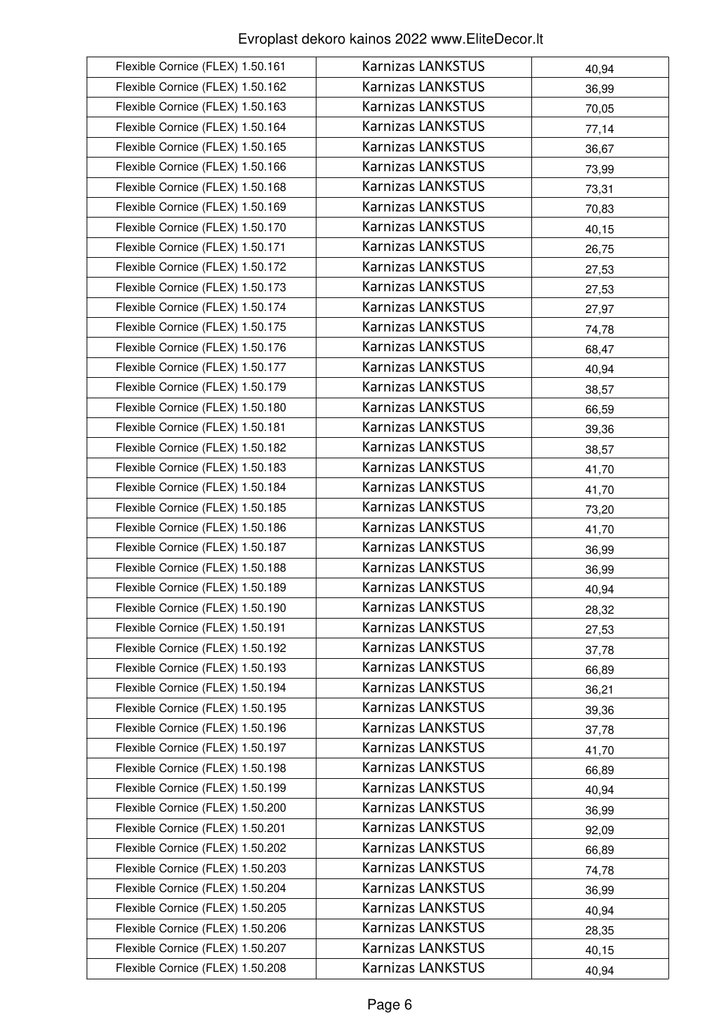| Flexible Cornice (FLEX) 1.50.161 | <b>Karnizas LANKSTUS</b> | 40,94 |
|----------------------------------|--------------------------|-------|
| Flexible Cornice (FLEX) 1.50.162 | <b>Karnizas LANKSTUS</b> | 36,99 |
| Flexible Cornice (FLEX) 1.50.163 | <b>Karnizas LANKSTUS</b> | 70,05 |
| Flexible Cornice (FLEX) 1.50.164 | <b>Karnizas LANKSTUS</b> | 77,14 |
| Flexible Cornice (FLEX) 1.50.165 | <b>Karnizas LANKSTUS</b> | 36,67 |
| Flexible Cornice (FLEX) 1.50.166 | <b>Karnizas LANKSTUS</b> | 73,99 |
| Flexible Cornice (FLEX) 1.50.168 | Karnizas LANKSTUS        | 73,31 |
| Flexible Cornice (FLEX) 1.50.169 | <b>Karnizas LANKSTUS</b> | 70,83 |
| Flexible Cornice (FLEX) 1.50.170 | Karnizas LANKSTUS        | 40,15 |
| Flexible Cornice (FLEX) 1.50.171 | <b>Karnizas LANKSTUS</b> | 26,75 |
| Flexible Cornice (FLEX) 1.50.172 | <b>Karnizas LANKSTUS</b> | 27,53 |
| Flexible Cornice (FLEX) 1.50.173 | <b>Karnizas LANKSTUS</b> | 27,53 |
| Flexible Cornice (FLEX) 1.50.174 | <b>Karnizas LANKSTUS</b> | 27,97 |
| Flexible Cornice (FLEX) 1.50.175 | <b>Karnizas LANKSTUS</b> | 74,78 |
| Flexible Cornice (FLEX) 1.50.176 | <b>Karnizas LANKSTUS</b> | 68,47 |
| Flexible Cornice (FLEX) 1.50.177 | <b>Karnizas LANKSTUS</b> | 40,94 |
| Flexible Cornice (FLEX) 1.50.179 | <b>Karnizas LANKSTUS</b> | 38,57 |
| Flexible Cornice (FLEX) 1.50.180 | <b>Karnizas LANKSTUS</b> | 66,59 |
| Flexible Cornice (FLEX) 1.50.181 | <b>Karnizas LANKSTUS</b> | 39,36 |
| Flexible Cornice (FLEX) 1.50.182 | <b>Karnizas LANKSTUS</b> | 38,57 |
| Flexible Cornice (FLEX) 1.50.183 | <b>Karnizas LANKSTUS</b> | 41,70 |
| Flexible Cornice (FLEX) 1.50.184 | <b>Karnizas LANKSTUS</b> | 41,70 |
| Flexible Cornice (FLEX) 1.50.185 | <b>Karnizas LANKSTUS</b> | 73,20 |
| Flexible Cornice (FLEX) 1.50.186 | <b>Karnizas LANKSTUS</b> | 41,70 |
| Flexible Cornice (FLEX) 1.50.187 | <b>Karnizas LANKSTUS</b> | 36,99 |
| Flexible Cornice (FLEX) 1.50.188 | <b>Karnizas LANKSTUS</b> | 36,99 |
| Flexible Cornice (FLEX) 1.50.189 | <b>Karnizas LANKSTUS</b> | 40,94 |
| Flexible Cornice (FLEX) 1.50.190 | <b>Karnizas LANKSTUS</b> | 28,32 |
| Flexible Cornice (FLEX) 1.50.191 | <b>Karnizas LANKSTUS</b> | 27,53 |
| Flexible Cornice (FLEX) 1.50.192 | <b>Karnizas LANKSTUS</b> | 37,78 |
| Flexible Cornice (FLEX) 1.50.193 | <b>Karnizas LANKSTUS</b> | 66,89 |
| Flexible Cornice (FLEX) 1.50.194 | <b>Karnizas LANKSTUS</b> | 36,21 |
| Flexible Cornice (FLEX) 1.50.195 | <b>Karnizas LANKSTUS</b> | 39,36 |
| Flexible Cornice (FLEX) 1.50.196 | Karnizas LANKSTUS        | 37,78 |
| Flexible Cornice (FLEX) 1.50.197 | <b>Karnizas LANKSTUS</b> | 41,70 |
| Flexible Cornice (FLEX) 1.50.198 | <b>Karnizas LANKSTUS</b> | 66,89 |
| Flexible Cornice (FLEX) 1.50.199 | <b>Karnizas LANKSTUS</b> | 40,94 |
| Flexible Cornice (FLEX) 1.50.200 | <b>Karnizas LANKSTUS</b> | 36,99 |
| Flexible Cornice (FLEX) 1.50.201 | <b>Karnizas LANKSTUS</b> | 92,09 |
| Flexible Cornice (FLEX) 1.50.202 | <b>Karnizas LANKSTUS</b> | 66,89 |
| Flexible Cornice (FLEX) 1.50.203 | <b>Karnizas LANKSTUS</b> | 74,78 |
| Flexible Cornice (FLEX) 1.50.204 | <b>Karnizas LANKSTUS</b> | 36,99 |
| Flexible Cornice (FLEX) 1.50.205 | <b>Karnizas LANKSTUS</b> | 40,94 |
| Flexible Cornice (FLEX) 1.50.206 | <b>Karnizas LANKSTUS</b> | 28,35 |
| Flexible Cornice (FLEX) 1.50.207 | <b>Karnizas LANKSTUS</b> | 40,15 |
| Flexible Cornice (FLEX) 1.50.208 | <b>Karnizas LANKSTUS</b> | 40,94 |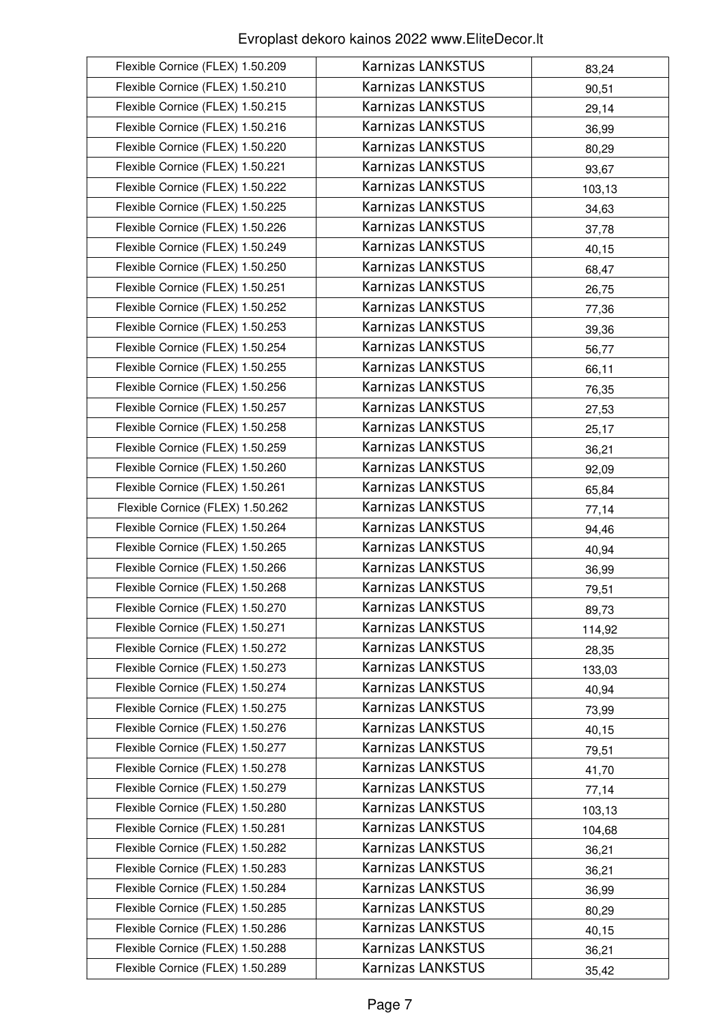| Flexible Cornice (FLEX) 1.50.209 | <b>Karnizas LANKSTUS</b> | 83,24  |
|----------------------------------|--------------------------|--------|
| Flexible Cornice (FLEX) 1.50.210 | <b>Karnizas LANKSTUS</b> | 90,51  |
| Flexible Cornice (FLEX) 1.50.215 | <b>Karnizas LANKSTUS</b> | 29,14  |
| Flexible Cornice (FLEX) 1.50.216 | <b>Karnizas LANKSTUS</b> | 36,99  |
| Flexible Cornice (FLEX) 1.50.220 | <b>Karnizas LANKSTUS</b> | 80,29  |
| Flexible Cornice (FLEX) 1.50.221 | <b>Karnizas LANKSTUS</b> | 93,67  |
| Flexible Cornice (FLEX) 1.50.222 | <b>Karnizas LANKSTUS</b> | 103,13 |
| Flexible Cornice (FLEX) 1.50.225 | <b>Karnizas LANKSTUS</b> | 34,63  |
| Flexible Cornice (FLEX) 1.50.226 | <b>Karnizas LANKSTUS</b> | 37,78  |
| Flexible Cornice (FLEX) 1.50.249 | <b>Karnizas LANKSTUS</b> | 40,15  |
| Flexible Cornice (FLEX) 1.50.250 | <b>Karnizas LANKSTUS</b> | 68,47  |
| Flexible Cornice (FLEX) 1.50.251 | <b>Karnizas LANKSTUS</b> | 26,75  |
| Flexible Cornice (FLEX) 1.50.252 | <b>Karnizas LANKSTUS</b> | 77,36  |
| Flexible Cornice (FLEX) 1.50.253 | <b>Karnizas LANKSTUS</b> | 39,36  |
| Flexible Cornice (FLEX) 1.50.254 | <b>Karnizas LANKSTUS</b> | 56,77  |
| Flexible Cornice (FLEX) 1.50.255 | <b>Karnizas LANKSTUS</b> | 66,11  |
| Flexible Cornice (FLEX) 1.50.256 | <b>Karnizas LANKSTUS</b> | 76,35  |
| Flexible Cornice (FLEX) 1.50.257 | <b>Karnizas LANKSTUS</b> | 27,53  |
| Flexible Cornice (FLEX) 1.50.258 | <b>Karnizas LANKSTUS</b> | 25,17  |
| Flexible Cornice (FLEX) 1.50.259 | <b>Karnizas LANKSTUS</b> | 36,21  |
| Flexible Cornice (FLEX) 1.50.260 | <b>Karnizas LANKSTUS</b> | 92,09  |
| Flexible Cornice (FLEX) 1.50.261 | <b>Karnizas LANKSTUS</b> | 65,84  |
| Flexible Cornice (FLEX) 1.50.262 | <b>Karnizas LANKSTUS</b> | 77,14  |
| Flexible Cornice (FLEX) 1.50.264 | <b>Karnizas LANKSTUS</b> | 94,46  |
| Flexible Cornice (FLEX) 1.50.265 | Karnizas LANKSTUS        | 40,94  |
| Flexible Cornice (FLEX) 1.50.266 | <b>Karnizas LANKSTUS</b> | 36,99  |
| Flexible Cornice (FLEX) 1.50.268 | <b>Karnizas LANKSTUS</b> | 79,51  |
| Flexible Cornice (FLEX) 1.50.270 | <b>Karnizas LANKSTUS</b> | 89,73  |
| Flexible Cornice (FLEX) 1.50.271 | <b>Karnizas LANKSTUS</b> | 114,92 |
| Flexible Cornice (FLEX) 1.50.272 | <b>Karnizas LANKSTUS</b> | 28,35  |
| Flexible Cornice (FLEX) 1.50.273 | <b>Karnizas LANKSTUS</b> | 133,03 |
| Flexible Cornice (FLEX) 1.50.274 | <b>Karnizas LANKSTUS</b> | 40,94  |
| Flexible Cornice (FLEX) 1.50.275 | <b>Karnizas LANKSTUS</b> | 73,99  |
| Flexible Cornice (FLEX) 1.50.276 | <b>Karnizas LANKSTUS</b> | 40,15  |
| Flexible Cornice (FLEX) 1.50.277 | <b>Karnizas LANKSTUS</b> | 79,51  |
| Flexible Cornice (FLEX) 1.50.278 | <b>Karnizas LANKSTUS</b> | 41,70  |
| Flexible Cornice (FLEX) 1.50.279 | <b>Karnizas LANKSTUS</b> | 77,14  |
| Flexible Cornice (FLEX) 1.50.280 | <b>Karnizas LANKSTUS</b> | 103,13 |
| Flexible Cornice (FLEX) 1.50.281 | <b>Karnizas LANKSTUS</b> | 104,68 |
| Flexible Cornice (FLEX) 1.50.282 | <b>Karnizas LANKSTUS</b> | 36,21  |
| Flexible Cornice (FLEX) 1.50.283 | <b>Karnizas LANKSTUS</b> | 36,21  |
| Flexible Cornice (FLEX) 1.50.284 | <b>Karnizas LANKSTUS</b> | 36,99  |
| Flexible Cornice (FLEX) 1.50.285 | <b>Karnizas LANKSTUS</b> | 80,29  |
| Flexible Cornice (FLEX) 1.50.286 | <b>Karnizas LANKSTUS</b> | 40,15  |
| Flexible Cornice (FLEX) 1.50.288 | <b>Karnizas LANKSTUS</b> | 36,21  |
| Flexible Cornice (FLEX) 1.50.289 | <b>Karnizas LANKSTUS</b> | 35,42  |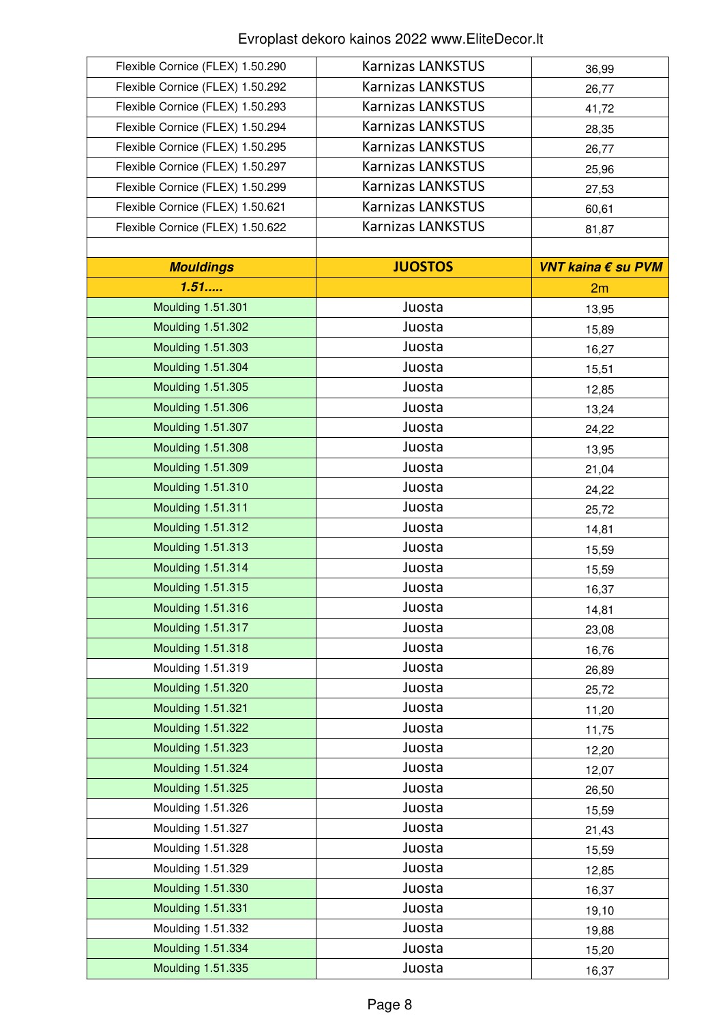| Flexible Cornice (FLEX) 1.50.290 | <b>Karnizas LANKSTUS</b> | 36,99              |
|----------------------------------|--------------------------|--------------------|
| Flexible Cornice (FLEX) 1.50.292 | <b>Karnizas LANKSTUS</b> | 26,77              |
| Flexible Cornice (FLEX) 1.50.293 | <b>Karnizas LANKSTUS</b> | 41,72              |
| Flexible Cornice (FLEX) 1.50.294 | <b>Karnizas LANKSTUS</b> | 28,35              |
| Flexible Cornice (FLEX) 1.50.295 | <b>Karnizas LANKSTUS</b> | 26,77              |
| Flexible Cornice (FLEX) 1.50.297 | <b>Karnizas LANKSTUS</b> | 25,96              |
| Flexible Cornice (FLEX) 1.50.299 | <b>Karnizas LANKSTUS</b> | 27,53              |
| Flexible Cornice (FLEX) 1.50.621 | <b>Karnizas LANKSTUS</b> | 60,61              |
| Flexible Cornice (FLEX) 1.50.622 | <b>Karnizas LANKSTUS</b> | 81,87              |
|                                  |                          |                    |
| <b>Mouldings</b>                 | <b>JUOSTOS</b>           | VNT kaina € su PVM |
| 1.51                             |                          | 2m                 |
| Moulding 1.51.301                | Juosta                   | 13,95              |
| <b>Moulding 1.51.302</b>         | Juosta                   | 15,89              |
| Moulding 1.51.303                | Juosta                   | 16,27              |
| Moulding 1.51.304                | Juosta                   | 15,51              |
| Moulding 1.51.305                | Juosta                   | 12,85              |
| <b>Moulding 1.51.306</b>         | Juosta                   | 13,24              |
| Moulding 1.51.307                | Juosta                   | 24,22              |
| Moulding 1.51.308                | Juosta                   | 13,95              |
| Moulding 1.51.309                | Juosta                   | 21,04              |
| <b>Moulding 1.51.310</b>         | Juosta                   | 24,22              |
| <b>Moulding 1.51.311</b>         | Juosta                   | 25,72              |
| <b>Moulding 1.51.312</b>         | Juosta                   | 14,81              |
| Moulding 1.51.313                | Juosta                   | 15,59              |
| <b>Moulding 1.51.314</b>         | Juosta                   | 15,59              |
| Moulding 1.51.315                | Juosta                   | 16,37              |
| Moulding 1.51.316                | Juosta                   | 14,81              |
| Moulding 1.51.317                | Juosta                   | 23,08              |
| <b>Moulding 1.51.318</b>         | Juosta                   | 16,76              |
| Moulding 1.51.319                | Juosta                   | 26,89              |
| Moulding 1.51.320                | Juosta                   | 25,72              |
| Moulding 1.51.321                | Juosta                   | 11,20              |
| Moulding 1.51.322                | Juosta                   | 11,75              |
| Moulding 1.51.323                | Juosta                   | 12,20              |
| Moulding 1.51.324                | Juosta                   | 12,07              |
| Moulding 1.51.325                | Juosta                   | 26,50              |
| Moulding 1.51.326                | Juosta                   | 15,59              |
| Moulding 1.51.327                | Juosta                   | 21,43              |
| Moulding 1.51.328                | Juosta                   | 15,59              |
| Moulding 1.51.329                | Juosta                   | 12,85              |
| Moulding 1.51.330                | Juosta                   | 16,37              |
| <b>Moulding 1.51.331</b>         | Juosta                   | 19,10              |
| Moulding 1.51.332                | Juosta                   | 19,88              |
| Moulding 1.51.334                | Juosta                   | 15,20              |
| Moulding 1.51.335                | Juosta                   | 16,37              |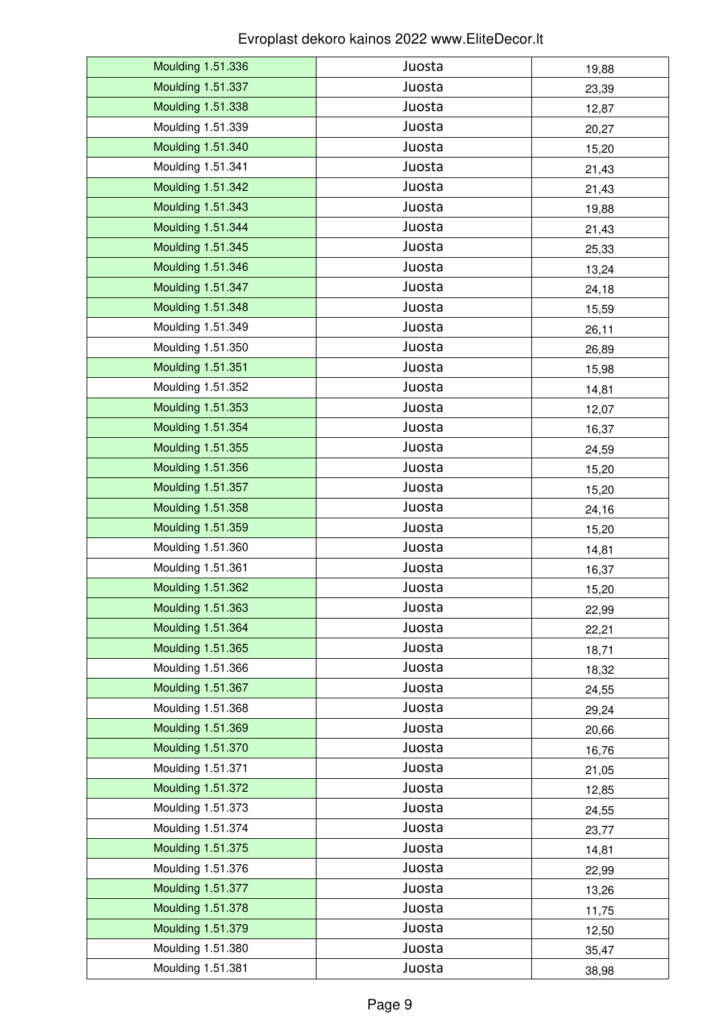| Moulding 1.51.336        | Juosta | 19,88 |
|--------------------------|--------|-------|
| Moulding 1.51.337        | Juosta | 23,39 |
| Moulding 1.51.338        | Juosta | 12,87 |
| Moulding 1.51.339        | Juosta | 20,27 |
| Moulding 1.51.340        | Juosta | 15,20 |
| Moulding 1.51.341        | Juosta | 21,43 |
| Moulding 1.51.342        | Juosta | 21,43 |
| Moulding 1.51.343        | Juosta | 19,88 |
| Moulding 1.51.344        | Juosta | 21,43 |
| Moulding 1.51.345        | Juosta | 25,33 |
| Moulding 1.51.346        | Juosta | 13,24 |
| Moulding 1.51.347        | Juosta | 24,18 |
| Moulding 1.51.348        | Juosta | 15,59 |
| Moulding 1.51.349        | Juosta | 26,11 |
| Moulding 1.51.350        | Juosta | 26,89 |
| <b>Moulding 1.51.351</b> | Juosta | 15,98 |
| Moulding 1.51.352        | Juosta | 14,81 |
| Moulding 1.51.353        | Juosta | 12,07 |
| Moulding 1.51.354        | Juosta | 16,37 |
| Moulding 1.51.355        | Juosta | 24,59 |
| <b>Moulding 1.51.356</b> | Juosta | 15,20 |
| Moulding 1.51.357        | Juosta | 15,20 |
| Moulding 1.51.358        | Juosta | 24,16 |
| Moulding 1.51.359        | Juosta | 15,20 |
| Moulding 1.51.360        | Juosta | 14,81 |
| Moulding 1.51.361        | Juosta | 16,37 |
| Moulding 1.51.362        | Juosta | 15,20 |
| Moulding 1.51.363        | Juosta | 22,99 |
| Moulding 1.51.364        | Juosta | 22,21 |
| Moulding 1.51.365        | Juosta | 18,71 |
| Moulding 1.51.366        | Juosta | 18,32 |
| Moulding 1.51.367        | Juosta | 24,55 |
| Moulding 1.51.368        | Juosta | 29,24 |
| Moulding 1.51.369        | Juosta | 20,66 |
| Moulding 1.51.370        | Juosta | 16,76 |
| Moulding 1.51.371        | Juosta | 21,05 |
| <b>Moulding 1.51.372</b> | Juosta | 12,85 |
| Moulding 1.51.373        | Juosta | 24,55 |
| Moulding 1.51.374        | Juosta | 23,77 |
| Moulding 1.51.375        | Juosta | 14,81 |
| Moulding 1.51.376        | Juosta | 22,99 |
| Moulding 1.51.377        | Juosta | 13,26 |
| <b>Moulding 1.51.378</b> | Juosta | 11,75 |
| Moulding 1.51.379        | Juosta | 12,50 |
| Moulding 1.51.380        | Juosta | 35,47 |
| Moulding 1.51.381        | Juosta | 38,98 |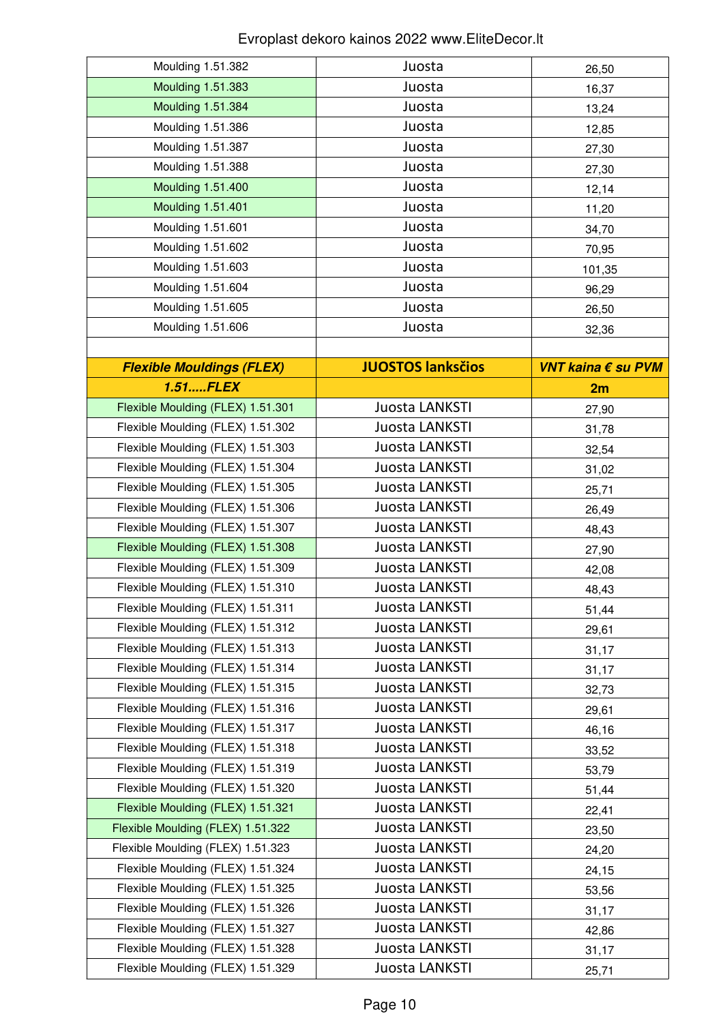| Moulding 1.51.382                 | Juosta                   | 26,50              |
|-----------------------------------|--------------------------|--------------------|
| Moulding 1.51.383                 | Juosta                   | 16,37              |
| Moulding 1.51.384                 | Juosta                   | 13,24              |
| Moulding 1.51.386                 | Juosta                   | 12,85              |
| Moulding 1.51.387                 | Juosta                   | 27,30              |
| Moulding 1.51.388                 | Juosta                   | 27,30              |
| Moulding 1.51.400                 | Juosta                   | 12,14              |
| <b>Moulding 1.51.401</b>          | Juosta                   | 11,20              |
| Moulding 1.51.601                 | Juosta                   | 34,70              |
| Moulding 1.51.602                 | Juosta                   | 70,95              |
| Moulding 1.51.603                 | Juosta                   | 101,35             |
| Moulding 1.51.604                 | Juosta                   | 96,29              |
| Moulding 1.51.605                 | Juosta                   | 26,50              |
| Moulding 1.51.606                 | Juosta                   | 32,36              |
|                                   |                          |                    |
| <b>Flexible Mouldings (FLEX)</b>  | <b>JUOSTOS lanksčios</b> | VNT kaina € su PVM |
| 1.51FLEX                          |                          | 2m                 |
| Flexible Moulding (FLEX) 1.51.301 | Juosta LANKSTI           | 27,90              |
| Flexible Moulding (FLEX) 1.51.302 | Juosta LANKSTI           | 31,78              |
| Flexible Moulding (FLEX) 1.51.303 | Juosta LANKSTI           | 32,54              |
| Flexible Moulding (FLEX) 1.51.304 | Juosta LANKSTI           | 31,02              |
| Flexible Moulding (FLEX) 1.51.305 | Juosta LANKSTI           | 25,71              |
| Flexible Moulding (FLEX) 1.51.306 | Juosta LANKSTI           | 26,49              |
| Flexible Moulding (FLEX) 1.51.307 | Juosta LANKSTI           | 48,43              |
| Flexible Moulding (FLEX) 1.51.308 | Juosta LANKSTI           | 27,90              |
| Flexible Moulding (FLEX) 1.51.309 | Juosta LANKSTI           | 42,08              |
| Flexible Moulding (FLEX) 1.51.310 | Juosta LANKSTI           | 48,43              |
| Flexible Moulding (FLEX) 1.51.311 | Juosta LANKSTI           | 51,44              |
| Flexible Moulding (FLEX) 1.51.312 | Juosta LANKSTI           | 29,61              |
| Flexible Moulding (FLEX) 1.51.313 | Juosta LANKSTI           | 31,17              |
| Flexible Moulding (FLEX) 1.51.314 | Juosta LANKSTI           | 31,17              |
| Flexible Moulding (FLEX) 1.51.315 | Juosta LANKSTI           | 32,73              |
| Flexible Moulding (FLEX) 1.51.316 | Juosta LANKSTI           | 29,61              |
| Flexible Moulding (FLEX) 1.51.317 | Juosta LANKSTI           | 46,16              |
| Flexible Moulding (FLEX) 1.51.318 | Juosta LANKSTI           | 33,52              |
| Flexible Moulding (FLEX) 1.51.319 | Juosta LANKSTI           | 53,79              |
| Flexible Moulding (FLEX) 1.51.320 | Juosta LANKSTI           | 51,44              |
| Flexible Moulding (FLEX) 1.51.321 | Juosta LANKSTI           | 22,41              |
| Flexible Moulding (FLEX) 1.51.322 | Juosta LANKSTI           | 23,50              |
| Flexible Moulding (FLEX) 1.51.323 | Juosta LANKSTI           | 24,20              |
| Flexible Moulding (FLEX) 1.51.324 | Juosta LANKSTI           | 24,15              |
| Flexible Moulding (FLEX) 1.51.325 | Juosta LANKSTI           | 53,56              |
| Flexible Moulding (FLEX) 1.51.326 | Juosta LANKSTI           | 31,17              |
| Flexible Moulding (FLEX) 1.51.327 | Juosta LANKSTI           | 42,86              |
| Flexible Moulding (FLEX) 1.51.328 | Juosta LANKSTI           | 31,17              |
| Flexible Moulding (FLEX) 1.51.329 | Juosta LANKSTI           | 25,71              |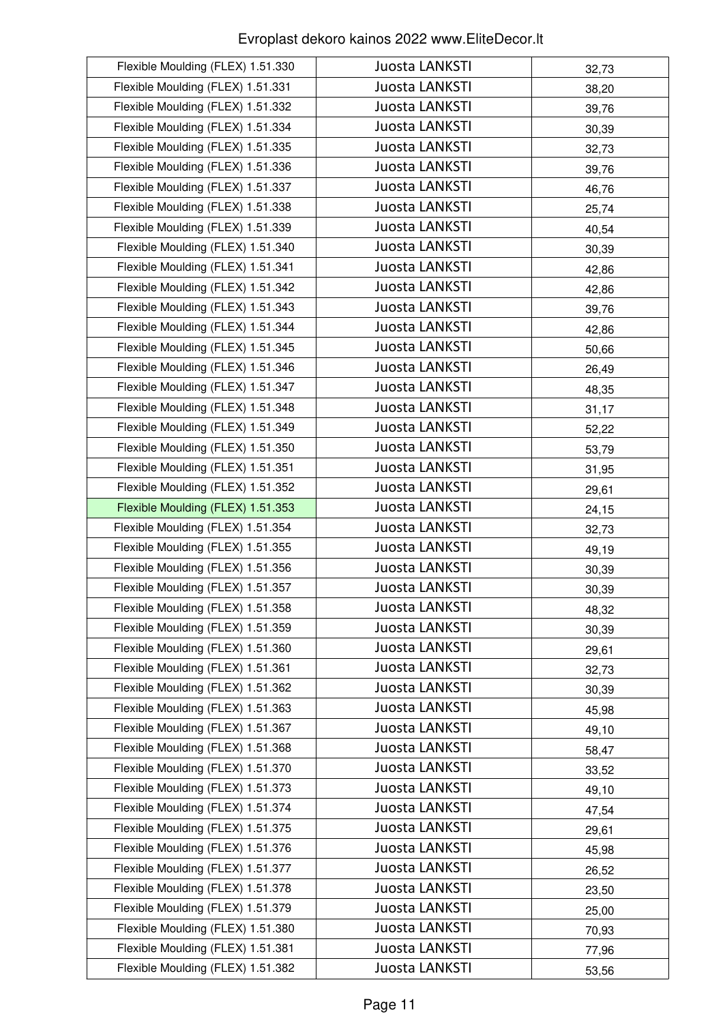| Flexible Moulding (FLEX) 1.51.330 | Juosta LANKSTI        | 32,73 |
|-----------------------------------|-----------------------|-------|
| Flexible Moulding (FLEX) 1.51.331 | <b>Juosta LANKSTI</b> | 38,20 |
| Flexible Moulding (FLEX) 1.51.332 | Juosta LANKSTI        | 39,76 |
| Flexible Moulding (FLEX) 1.51.334 | Juosta LANKSTI        | 30,39 |
| Flexible Moulding (FLEX) 1.51.335 | <b>Juosta LANKSTI</b> | 32,73 |
| Flexible Moulding (FLEX) 1.51.336 | Juosta LANKSTI        | 39,76 |
| Flexible Moulding (FLEX) 1.51.337 | Juosta LANKSTI        | 46,76 |
| Flexible Moulding (FLEX) 1.51.338 | Juosta LANKSTI        | 25,74 |
| Flexible Moulding (FLEX) 1.51.339 | Juosta LANKSTI        | 40,54 |
| Flexible Moulding (FLEX) 1.51.340 | Juosta LANKSTI        | 30,39 |
| Flexible Moulding (FLEX) 1.51.341 | Juosta LANKSTI        | 42,86 |
| Flexible Moulding (FLEX) 1.51.342 | Juosta LANKSTI        | 42,86 |
| Flexible Moulding (FLEX) 1.51.343 | Juosta LANKSTI        | 39,76 |
| Flexible Moulding (FLEX) 1.51.344 | Juosta LANKSTI        | 42,86 |
| Flexible Moulding (FLEX) 1.51.345 | Juosta LANKSTI        | 50,66 |
| Flexible Moulding (FLEX) 1.51.346 | Juosta LANKSTI        | 26,49 |
| Flexible Moulding (FLEX) 1.51.347 | Juosta LANKSTI        | 48,35 |
| Flexible Moulding (FLEX) 1.51.348 | <b>Juosta LANKSTI</b> | 31,17 |
| Flexible Moulding (FLEX) 1.51.349 | Juosta LANKSTI        | 52,22 |
| Flexible Moulding (FLEX) 1.51.350 | Juosta LANKSTI        | 53,79 |
| Flexible Moulding (FLEX) 1.51.351 | Juosta LANKSTI        | 31,95 |
| Flexible Moulding (FLEX) 1.51.352 | Juosta LANKSTI        | 29,61 |
| Flexible Moulding (FLEX) 1.51.353 | Juosta LANKSTI        | 24,15 |
| Flexible Moulding (FLEX) 1.51.354 | Juosta LANKSTI        | 32,73 |
| Flexible Moulding (FLEX) 1.51.355 | Juosta LANKSTI        | 49,19 |
| Flexible Moulding (FLEX) 1.51.356 | Juosta LANKSTI        | 30,39 |
| Flexible Moulding (FLEX) 1.51.357 | Juosta LANKSTI        | 30,39 |
| Flexible Moulding (FLEX) 1.51.358 | Juosta LANKSTI        | 48,32 |
| Flexible Moulding (FLEX) 1.51.359 | Juosta LANKSTI        | 30,39 |
| Flexible Moulding (FLEX) 1.51.360 | Juosta LANKSTI        | 29,61 |
| Flexible Moulding (FLEX) 1.51.361 | Juosta LANKSTI        | 32,73 |
| Flexible Moulding (FLEX) 1.51.362 | Juosta LANKSTI        | 30,39 |
| Flexible Moulding (FLEX) 1.51.363 | Juosta LANKSTI        | 45,98 |
| Flexible Moulding (FLEX) 1.51.367 | Juosta LANKSTI        | 49,10 |
| Flexible Moulding (FLEX) 1.51.368 | Juosta LANKSTI        | 58,47 |
| Flexible Moulding (FLEX) 1.51.370 | Juosta LANKSTI        | 33,52 |
| Flexible Moulding (FLEX) 1.51.373 | Juosta LANKSTI        | 49,10 |
| Flexible Moulding (FLEX) 1.51.374 | Juosta LANKSTI        | 47,54 |
| Flexible Moulding (FLEX) 1.51.375 | Juosta LANKSTI        | 29,61 |
| Flexible Moulding (FLEX) 1.51.376 | Juosta LANKSTI        | 45,98 |
| Flexible Moulding (FLEX) 1.51.377 | Juosta LANKSTI        | 26,52 |
| Flexible Moulding (FLEX) 1.51.378 | Juosta LANKSTI        | 23,50 |
| Flexible Moulding (FLEX) 1.51.379 | Juosta LANKSTI        | 25,00 |
| Flexible Moulding (FLEX) 1.51.380 | Juosta LANKSTI        | 70,93 |
| Flexible Moulding (FLEX) 1.51.381 | Juosta LANKSTI        | 77,96 |
| Flexible Moulding (FLEX) 1.51.382 | Juosta LANKSTI        | 53,56 |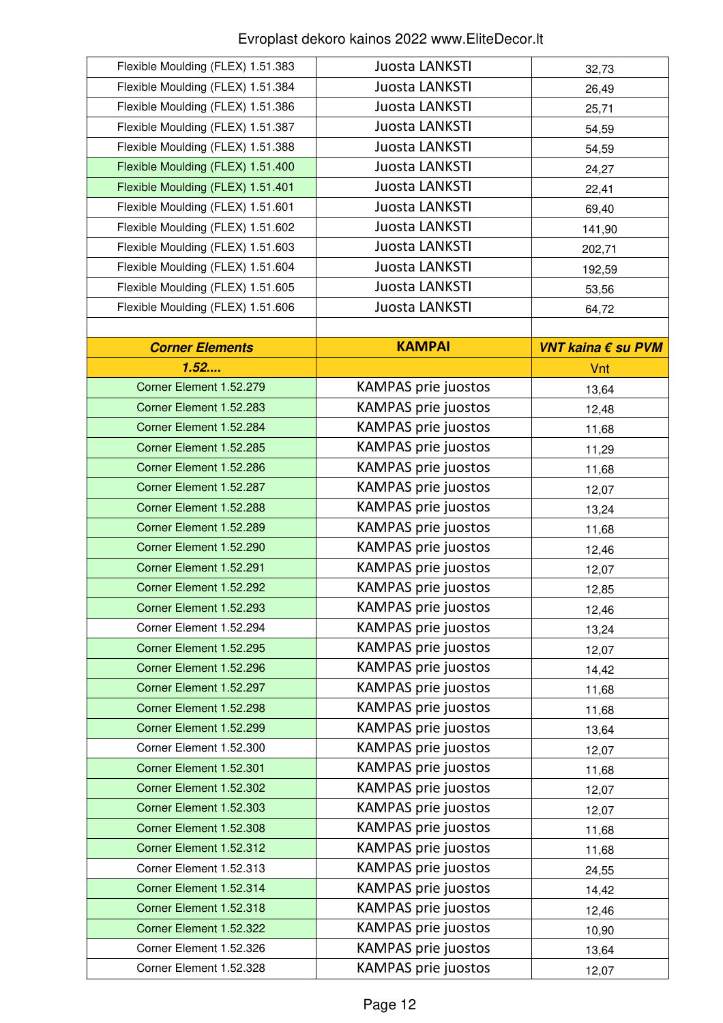| Flexible Moulding (FLEX) 1.51.383 | Juosta LANKSTI             | 32,73              |
|-----------------------------------|----------------------------|--------------------|
| Flexible Moulding (FLEX) 1.51.384 | Juosta LANKSTI             | 26,49              |
| Flexible Moulding (FLEX) 1.51.386 | Juosta LANKSTI             | 25,71              |
| Flexible Moulding (FLEX) 1.51.387 | Juosta LANKSTI             | 54,59              |
| Flexible Moulding (FLEX) 1.51.388 | Juosta LANKSTI             | 54,59              |
| Flexible Moulding (FLEX) 1.51.400 | Juosta LANKSTI             | 24,27              |
| Flexible Moulding (FLEX) 1.51.401 | Juosta LANKSTI             | 22,41              |
| Flexible Moulding (FLEX) 1.51.601 | Juosta LANKSTI             | 69,40              |
| Flexible Moulding (FLEX) 1.51.602 | Juosta LANKSTI             | 141,90             |
| Flexible Moulding (FLEX) 1.51.603 | Juosta LANKSTI             | 202,71             |
| Flexible Moulding (FLEX) 1.51.604 | Juosta LANKSTI             | 192,59             |
| Flexible Moulding (FLEX) 1.51.605 | Juosta LANKSTI             | 53,56              |
| Flexible Moulding (FLEX) 1.51.606 | Juosta LANKSTI             | 64,72              |
|                                   |                            |                    |
| <b>Corner Elements</b>            | <b>KAMPAI</b>              | VNT kaina € su PVM |
| 1.52                              |                            | Vnt                |
| Corner Element 1.52.279           | <b>KAMPAS prie juostos</b> | 13,64              |
| Corner Element 1.52.283           | <b>KAMPAS prie juostos</b> | 12,48              |
| Corner Element 1.52.284           | <b>KAMPAS prie juostos</b> | 11,68              |
| Corner Element 1.52.285           | <b>KAMPAS prie juostos</b> | 11,29              |
| Corner Element 1.52.286           | <b>KAMPAS prie juostos</b> | 11,68              |
| Corner Element 1.52.287           | <b>KAMPAS prie juostos</b> | 12,07              |
| Corner Element 1.52.288           | <b>KAMPAS prie juostos</b> | 13,24              |
| Corner Element 1.52.289           | <b>KAMPAS prie juostos</b> | 11,68              |
| Corner Element 1.52.290           | <b>KAMPAS prie juostos</b> | 12,46              |
| Corner Element 1.52.291           | <b>KAMPAS prie juostos</b> | 12,07              |
| Corner Element 1.52.292           | <b>KAMPAS prie juostos</b> | 12,85              |
| Corner Element 1.52.293           | <b>KAMPAS prie juostos</b> | 12,46              |
| Corner Element 1.52.294           | <b>KAMPAS prie juostos</b> | 13,24              |
| Corner Element 1.52.295           | <b>KAMPAS prie juostos</b> | 12,07              |
| Corner Element 1.52.296           | <b>KAMPAS prie juostos</b> | 14,42              |
| Corner Element 1.52.297           | <b>KAMPAS prie juostos</b> | 11,68              |
| Corner Element 1.52.298           | <b>KAMPAS prie juostos</b> | 11,68              |
| Corner Element 1.52.299           | <b>KAMPAS prie juostos</b> | 13,64              |
| Corner Element 1.52.300           | KAMPAS prie juostos        | 12,07              |
| Corner Element 1.52.301           | KAMPAS prie juostos        | 11,68              |
| Corner Element 1.52.302           | <b>KAMPAS prie juostos</b> | 12,07              |
| Corner Element 1.52.303           | <b>KAMPAS prie juostos</b> | 12,07              |
| Corner Element 1.52.308           | <b>KAMPAS prie juostos</b> | 11,68              |
| Corner Element 1.52.312           | <b>KAMPAS prie juostos</b> | 11,68              |
| Corner Element 1.52.313           | <b>KAMPAS prie juostos</b> | 24,55              |
| Corner Element 1.52.314           | KAMPAS prie juostos        | 14,42              |
| Corner Element 1.52.318           | KAMPAS prie juostos        | 12,46              |
| Corner Element 1.52.322           | KAMPAS prie juostos        | 10,90              |
| Corner Element 1.52.326           | <b>KAMPAS prie juostos</b> | 13,64              |
| Corner Element 1.52.328           | <b>KAMPAS prie juostos</b> | 12,07              |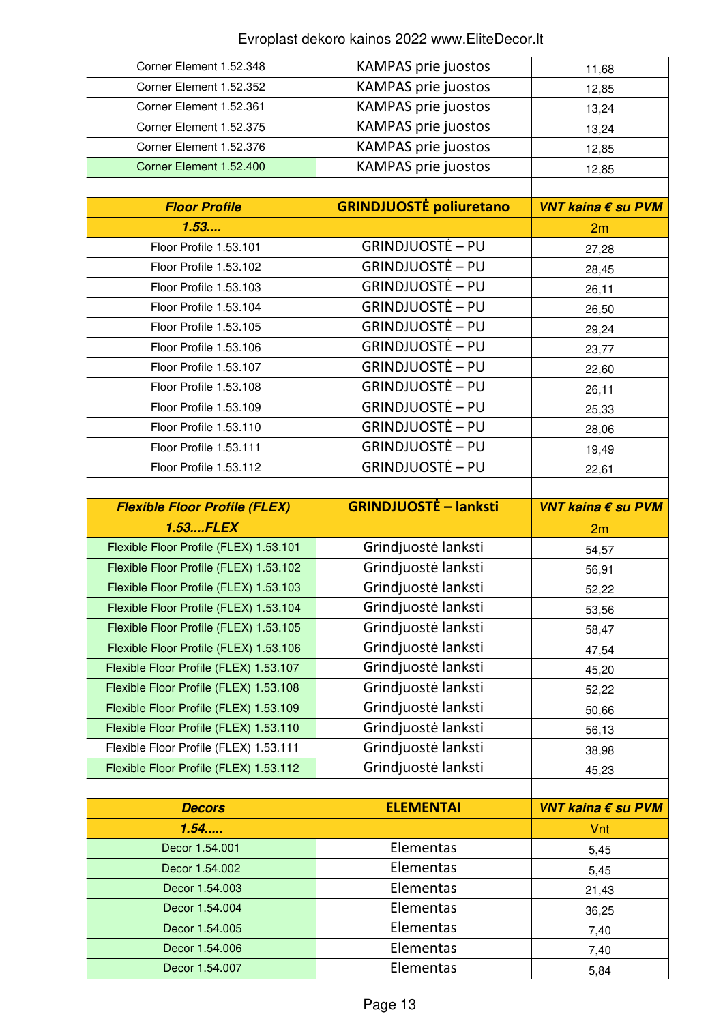| Corner Element 1.52.348                | <b>KAMPAS prie juostos</b>     | 11,68              |
|----------------------------------------|--------------------------------|--------------------|
| Corner Element 1.52.352                | <b>KAMPAS prie juostos</b>     | 12,85              |
| Corner Element 1.52.361                | <b>KAMPAS prie juostos</b>     | 13,24              |
| Corner Element 1.52.375                | <b>KAMPAS prie juostos</b>     | 13,24              |
| Corner Element 1.52.376                | <b>KAMPAS prie juostos</b>     | 12,85              |
| Corner Element 1.52.400                | <b>KAMPAS prie juostos</b>     | 12,85              |
|                                        |                                |                    |
| <b>Floor Profile</b>                   | <b>GRINDJUOSTĖ poliuretano</b> | VNT kaina € su PVM |
| 1.53                                   |                                | 2m                 |
| Floor Profile 1.53.101                 | <b>GRINDJUOSTĖ – PU</b>        | 27,28              |
| Floor Profile 1.53.102                 | <b>GRINDJUOSTĖ – PU</b>        | 28,45              |
| Floor Profile 1.53.103                 | <b>GRINDJUOSTĖ – PU</b>        | 26,11              |
| Floor Profile 1.53.104                 | <b>GRINDJUOSTĖ – PU</b>        | 26,50              |
| Floor Profile 1.53.105                 | <b>GRINDJUOSTĖ – PU</b>        | 29,24              |
| Floor Profile 1.53.106                 | <b>GRINDJUOSTĖ – PU</b>        | 23,77              |
| Floor Profile 1.53.107                 | <b>GRINDJUOSTĖ – PU</b>        | 22,60              |
| Floor Profile 1.53.108                 | <b>GRINDJUOSTĖ – PU</b>        | 26,11              |
| Floor Profile 1.53.109                 | <b>GRINDJUOSTĖ – PU</b>        |                    |
| Floor Profile 1.53.110                 | GRINDJUOSTĖ – PU               | 25,33              |
| Floor Profile 1.53.111                 | GRINDJUOSTĖ – PU               | 28,06              |
|                                        | <b>GRINDJUOSTĖ – PU</b>        | 19,49              |
| Floor Profile 1.53.112                 |                                | 22,61              |
|                                        |                                |                    |
| <b>Flexible Floor Profile (FLEX)</b>   | <b>GRINDJUOSTĖ – lanksti</b>   | VNT kaina € su PVM |
|                                        |                                |                    |
| <b>1.53FLEX</b>                        |                                | 2m                 |
| Flexible Floor Profile (FLEX) 1.53.101 | Grindjuostė lanksti            | 54,57              |
| Flexible Floor Profile (FLEX) 1.53.102 | Grindjuostė lanksti            | 56,91              |
| Flexible Floor Profile (FLEX) 1.53.103 | Grindjuostė lanksti            | 52,22              |
| Flexible Floor Profile (FLEX) 1.53.104 | Grindjuostė lanksti            | 53,56              |
| Flexible Floor Profile (FLEX) 1.53.105 | Grindjuostė lanksti            | 58,47              |
| Flexible Floor Profile (FLEX) 1.53.106 | Grindjuostė lanksti            | 47,54              |
| Flexible Floor Profile (FLEX) 1.53.107 | Grindjuostė lanksti            | 45,20              |
| Flexible Floor Profile (FLEX) 1.53.108 | Grindjuostė lanksti            | 52,22              |
| Flexible Floor Profile (FLEX) 1.53.109 | Grindjuostė lanksti            | 50,66              |
| Flexible Floor Profile (FLEX) 1.53.110 | Grindjuostė lanksti            | 56,13              |
| Flexible Floor Profile (FLEX) 1.53.111 | Grindjuostė lanksti            | 38,98              |
| Flexible Floor Profile (FLEX) 1.53.112 | Grindjuostė lanksti            |                    |
|                                        |                                | 45,23              |
| <b>Decors</b>                          | <b>ELEMENTAI</b>               | VNT kaina € su PVM |
|                                        |                                |                    |
| 1.54                                   |                                | Vnt                |
| Decor 1.54.001                         | Elementas                      | 5,45               |
| Decor 1.54.002                         | Elementas                      | 5,45               |
| Decor 1.54.003                         | Elementas                      | 21,43              |
| Decor 1.54.004                         | Elementas                      | 36,25              |
| Decor 1.54.005                         | Elementas                      | 7,40               |
| Decor 1.54.006<br>Decor 1.54.007       | Elementas<br>Elementas         | 7,40<br>5,84       |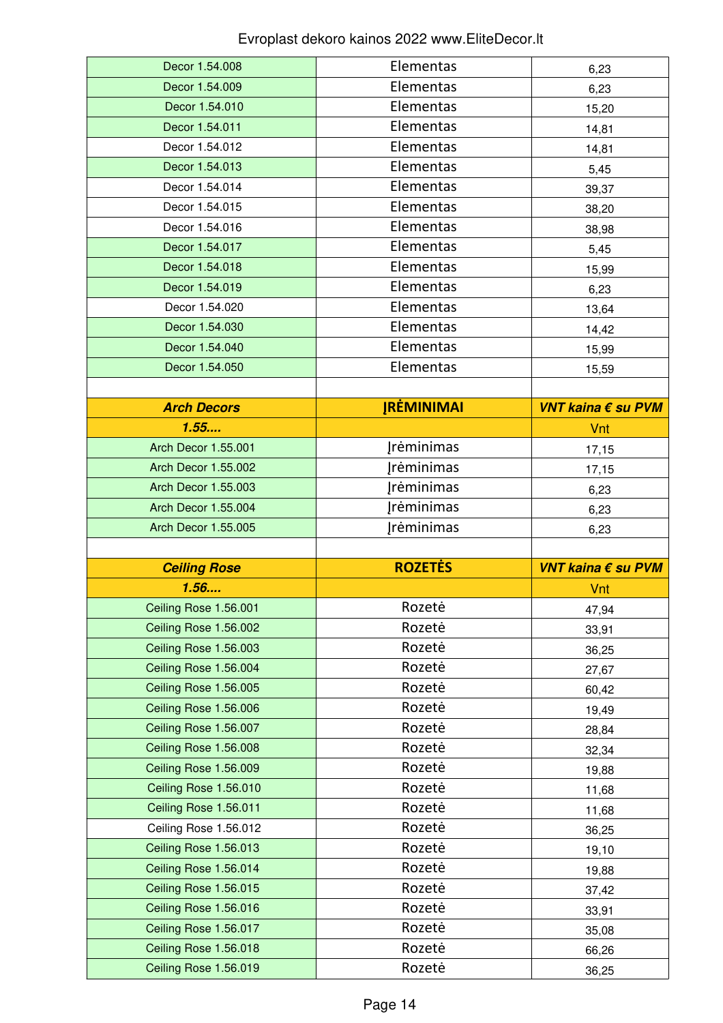| Decor 1.54.008                                 | Elementas              | 6,23               |
|------------------------------------------------|------------------------|--------------------|
| Decor 1.54.009                                 | Elementas<br>Elementas | 6,23               |
| Decor 1.54.010                                 |                        | 15,20              |
| Decor 1.54.011                                 | Elementas              | 14,81              |
| Decor 1.54.012                                 | Elementas              | 14,81              |
| Decor 1.54.013                                 | Elementas              | 5,45               |
| Decor 1.54.014                                 | Elementas              | 39,37              |
| Decor 1.54.015                                 | Elementas              | 38,20              |
| Decor 1.54.016                                 | Elementas              | 38,98              |
| Decor 1.54.017                                 | Elementas              | 5,45               |
| Decor 1.54.018                                 | Elementas              | 15,99              |
| Decor 1.54.019                                 | Elementas              | 6,23               |
| Decor 1.54.020                                 | Elementas              | 13,64              |
| Decor 1.54.030                                 | Elementas              | 14,42              |
| Decor 1.54.040                                 | Elementas              | 15,99              |
| Decor 1.54.050                                 | Elementas              | 15,59              |
|                                                |                        |                    |
| <b>Arch Decors</b>                             | <b>JRĖMINIMAI</b>      | VNT kaina € su PVM |
| 1.55                                           |                        | Vnt                |
| <b>Arch Decor 1.55.001</b>                     | <b>Irėminimas</b>      | 17,15              |
| <b>Arch Decor 1.55.002</b>                     | <b>Įrėminimas</b>      | 17,15              |
| <b>Arch Decor 1.55.003</b>                     | Jrėminimas             | 6,23               |
| <b>Arch Decor 1.55.004</b>                     | <b>Irėminimas</b>      | 6,23               |
|                                                |                        |                    |
| Arch Decor 1.55.005                            | <b>Jrėminimas</b>      | 6,23               |
|                                                |                        |                    |
| <b>Ceiling Rose</b>                            | <b>ROZETĖS</b>         | VNT kaina € su PVM |
| 1.56                                           |                        | Vnt                |
| Ceiling Rose 1.56.001                          | Rozetė                 | 47,94              |
| Ceiling Rose 1.56.002                          | Rozetė                 | 33,91              |
| Ceiling Rose 1.56.003                          | Rozetė                 | 36,25              |
| Ceiling Rose 1.56.004                          | Rozetė                 | 27,67              |
| Ceiling Rose 1.56.005                          | Rozetė                 | 60,42              |
| Ceiling Rose 1.56.006                          | Rozetė                 | 19,49              |
| Ceiling Rose 1.56.007                          | Rozetė                 | 28,84              |
| Ceiling Rose 1.56.008                          | Rozetė                 | 32,34              |
| Ceiling Rose 1.56.009                          | Rozetė                 | 19,88              |
| Ceiling Rose 1.56.010                          | Rozetė                 | 11,68              |
| Ceiling Rose 1.56.011                          | Rozetė                 | 11,68              |
| Ceiling Rose 1.56.012                          | Rozetė                 | 36,25              |
| Ceiling Rose 1.56.013                          | Rozetė                 | 19,10              |
| Ceiling Rose 1.56.014                          | Rozetė                 | 19,88              |
| Ceiling Rose 1.56.015                          | Rozetė                 | 37,42              |
| Ceiling Rose 1.56.016                          | Rozetė                 | 33,91              |
| Ceiling Rose 1.56.017                          | Rozetė                 | 35,08              |
| Ceiling Rose 1.56.018<br>Ceiling Rose 1.56.019 | Rozetė<br>Rozetė       | 66,26              |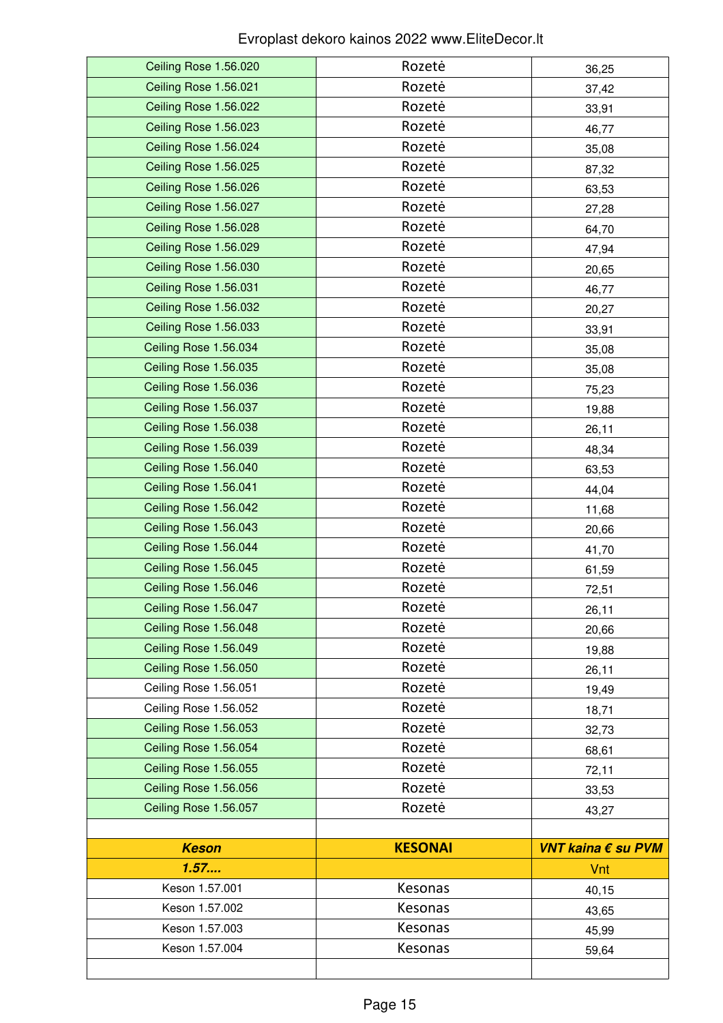| Ceiling Rose 1.56.020 | Rozetė         | 36,25              |
|-----------------------|----------------|--------------------|
| Ceiling Rose 1.56.021 | Rozetė         | 37,42              |
| Ceiling Rose 1.56.022 | Rozetė         | 33,91              |
| Ceiling Rose 1.56.023 | Rozetė         | 46,77              |
| Ceiling Rose 1.56.024 | Rozetė         | 35,08              |
| Ceiling Rose 1.56.025 | Rozetė         | 87,32              |
| Ceiling Rose 1.56.026 | Rozetė         | 63,53              |
| Ceiling Rose 1.56.027 | Rozetė         | 27,28              |
| Ceiling Rose 1.56.028 | Rozetė         | 64,70              |
| Ceiling Rose 1.56.029 | Rozetė         | 47,94              |
| Ceiling Rose 1.56.030 | Rozetė         | 20,65              |
| Ceiling Rose 1.56.031 | Rozetė         | 46,77              |
| Ceiling Rose 1.56.032 | Rozetė         | 20,27              |
| Ceiling Rose 1.56.033 | Rozetė         | 33,91              |
| Ceiling Rose 1.56.034 | Rozetė         | 35,08              |
| Ceiling Rose 1.56.035 | Rozetė         | 35,08              |
| Ceiling Rose 1.56.036 | Rozetė         | 75,23              |
| Ceiling Rose 1.56.037 | Rozetė         | 19,88              |
| Ceiling Rose 1.56.038 | Rozetė         | 26,11              |
| Ceiling Rose 1.56.039 | Rozetė         | 48,34              |
| Ceiling Rose 1.56.040 | Rozetė         | 63,53              |
| Ceiling Rose 1.56.041 | Rozetė         | 44,04              |
| Ceiling Rose 1.56.042 | Rozetė         | 11,68              |
| Ceiling Rose 1.56.043 | Rozetė         | 20,66              |
| Ceiling Rose 1.56.044 | Rozetė         | 41,70              |
| Ceiling Rose 1.56.045 | Rozetė         | 61,59              |
| Ceiling Rose 1.56.046 | Rozetė         | 72,51              |
| Ceiling Rose 1.56.047 | Rozetė         | 26,11              |
| Ceiling Rose 1.56.048 | Rozetė         | 20,66              |
| Ceiling Rose 1.56.049 | Rozetė         | 19,88              |
| Ceiling Rose 1.56.050 | Rozetė         | 26,11              |
| Ceiling Rose 1.56.051 | Rozetė         | 19,49              |
| Ceiling Rose 1.56.052 | Rozetė         | 18,71              |
| Ceiling Rose 1.56.053 | Rozetė         | 32,73              |
| Ceiling Rose 1.56.054 | Rozetė         | 68,61              |
| Ceiling Rose 1.56.055 | Rozetė         | 72,11              |
| Ceiling Rose 1.56.056 | Rozetė         | 33,53              |
| Ceiling Rose 1.56.057 | Rozetė         | 43,27              |
|                       |                |                    |
| <b>Keson</b>          | <b>KESONAI</b> | VNT kaina € su PVM |
| 1.57                  |                | Vnt                |
| Keson 1.57.001        | Kesonas        | 40,15              |
| Keson 1.57.002        | Kesonas        | 43,65              |
| Keson 1.57.003        | Kesonas        | 45,99              |
|                       |                |                    |
| Keson 1.57.004        | Kesonas        | 59,64              |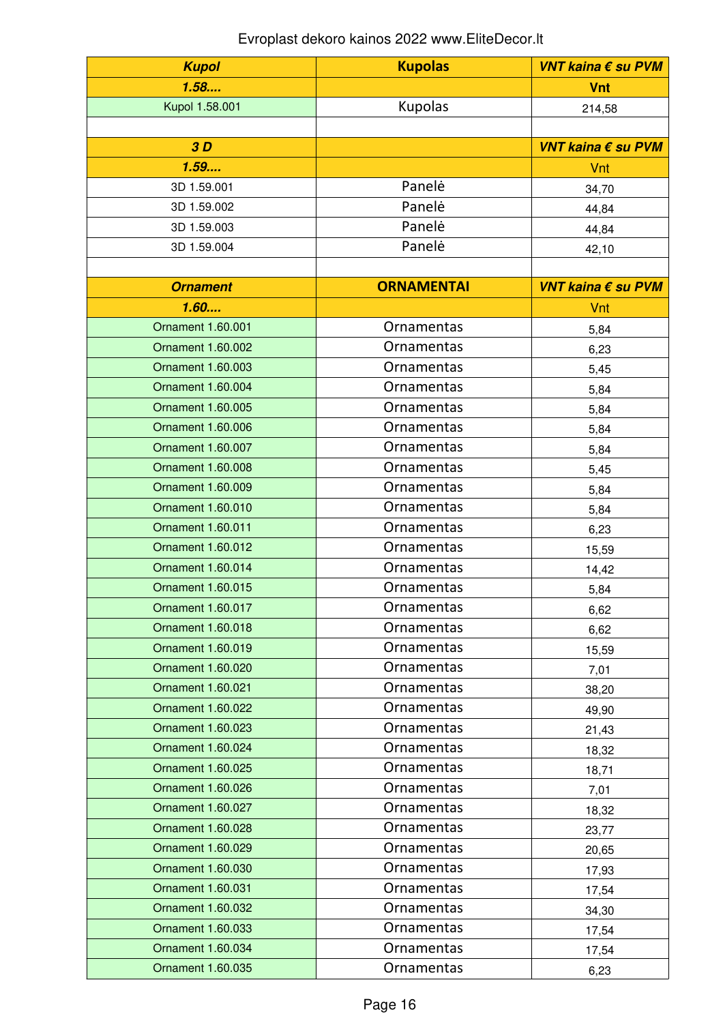| <b>Kupol</b>             | <b>Kupolas</b>    | VNT kaina € su PVM |
|--------------------------|-------------------|--------------------|
| 1.58                     |                   | <b>Vnt</b>         |
| Kupol 1.58.001           | Kupolas           | 214,58             |
|                          |                   |                    |
| 3D                       |                   | VNT kaina € su PVM |
| 1.59                     |                   | Vnt                |
| 3D 1.59.001              | Panelė            | 34,70              |
| 3D 1.59.002              | Panelė            | 44,84              |
| 3D 1.59.003              | Panelė            | 44,84              |
| 3D 1.59.004              | Panelė            | 42,10              |
|                          |                   |                    |
| <b>Ornament</b>          | <b>ORNAMENTAI</b> | VNT kaina € su PVM |
| 1.60                     |                   | Vnt                |
| <b>Ornament 1.60.001</b> | Ornamentas        | 5,84               |
| <b>Ornament 1.60.002</b> | <b>Ornamentas</b> | 6,23               |
| <b>Ornament 1.60.003</b> | Ornamentas        | 5,45               |
| Ornament 1.60.004        | Ornamentas        | 5,84               |
| <b>Ornament 1.60.005</b> | Ornamentas        | 5,84               |
| <b>Ornament 1.60.006</b> | Ornamentas        | 5,84               |
| <b>Ornament 1.60.007</b> | Ornamentas        | 5,84               |
| Ornament 1.60.008        | Ornamentas        | 5,45               |
| Ornament 1.60.009        | Ornamentas        | 5,84               |
| Ornament 1.60.010        | Ornamentas        | 5,84               |
| <b>Ornament 1.60.011</b> | Ornamentas        | 6,23               |
| Ornament 1.60.012        | Ornamentas        | 15,59              |
| Ornament 1.60.014        | <b>Ornamentas</b> | 14,42              |
| <b>Ornament 1.60.015</b> | Ornamentas        | 5,84               |
| Ornament 1.60.017        | Ornamentas        | 6,62               |
| Ornament 1.60.018        | Ornamentas        | 6,62               |
| <b>Ornament 1.60.019</b> | Ornamentas        | 15,59              |
| Ornament 1.60.020        | Ornamentas        | 7,01               |
| <b>Ornament 1.60.021</b> | Ornamentas        | 38,20              |
| Ornament 1.60.022        | Ornamentas        | 49,90              |
| Ornament 1.60.023        | Ornamentas        | 21,43              |
| <b>Ornament 1.60.024</b> | Ornamentas        | 18,32              |
| Ornament 1.60.025        | Ornamentas        | 18,71              |
| Ornament 1.60.026        | Ornamentas        | 7,01               |
| Ornament 1.60.027        | Ornamentas        | 18,32              |
| Ornament 1.60.028        | Ornamentas        | 23,77              |
| Ornament 1.60.029        | Ornamentas        | 20,65              |
| Ornament 1.60.030        | Ornamentas        | 17,93              |
| <b>Ornament 1.60.031</b> | Ornamentas        | 17,54              |
| Ornament 1.60.032        | Ornamentas        | 34,30              |
| <b>Ornament 1.60.033</b> | Ornamentas        | 17,54              |
| Ornament 1.60.034        | Ornamentas        | 17,54              |
| Ornament 1.60.035        | Ornamentas        | 6,23               |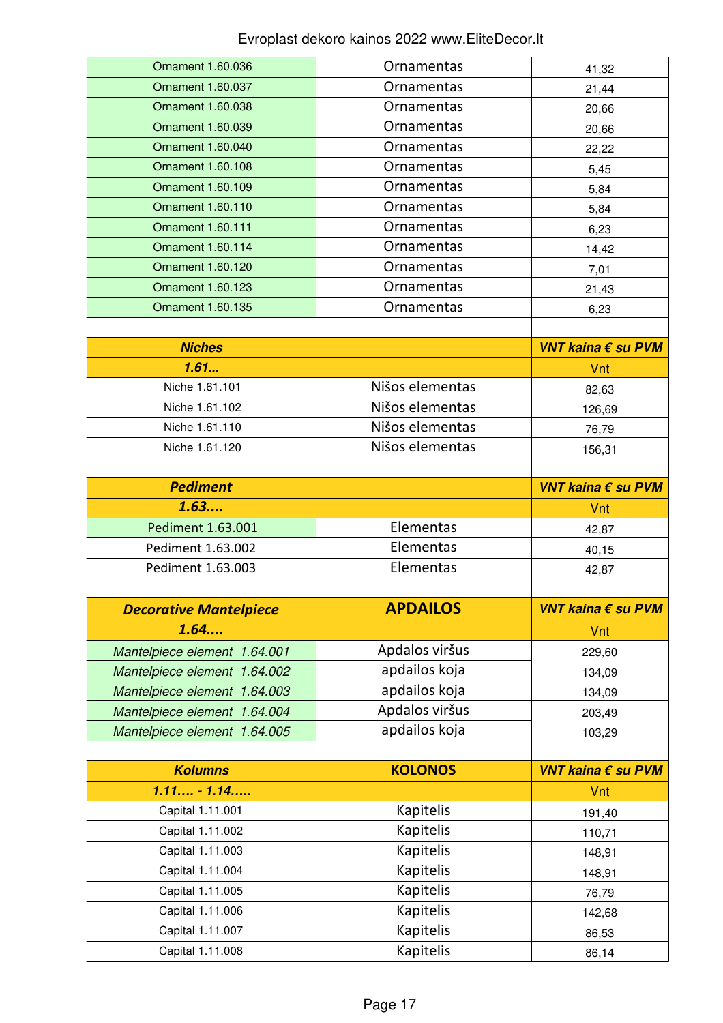| Ornament 1.60.036                    | Ornamentas             | 41,32              |
|--------------------------------------|------------------------|--------------------|
| Ornament 1.60.037                    | Ornamentas             | 21,44              |
| Ornament 1.60.038                    | Ornamentas             | 20,66              |
| Ornament 1.60.039                    | Ornamentas             | 20,66              |
| Ornament 1.60.040                    | Ornamentas             | 22,22              |
| Ornament 1.60.108                    | Ornamentas             | 5,45               |
| Ornament 1.60.109                    | <b>Ornamentas</b>      | 5,84               |
| Ornament 1.60.110                    | Ornamentas             | 5,84               |
| Ornament 1.60.111                    | Ornamentas             | 6,23               |
| <b>Ornament 1.60.114</b>             | Ornamentas             | 14,42              |
| Ornament 1.60.120                    | Ornamentas             | 7,01               |
| Ornament 1.60.123                    | Ornamentas             | 21,43              |
| Ornament 1.60.135                    | Ornamentas             | 6,23               |
|                                      |                        |                    |
| <b>Niches</b>                        |                        | VNT kaina € su PVM |
| 1.61                                 |                        | Vnt                |
| Niche 1.61.101                       | Nišos elementas        | 82,63              |
| Niche 1.61.102                       | Nišos elementas        | 126,69             |
| Niche 1.61.110                       | Nišos elementas        | 76,79              |
| Niche 1.61.120                       | Nišos elementas        | 156,31             |
|                                      |                        |                    |
| <b>Pediment</b>                      |                        | VNT kaina € su PVM |
|                                      |                        |                    |
| 1.63                                 |                        | Vnt                |
| Pediment 1.63.001                    | Elementas              | 42,87              |
| Pediment 1.63.002                    | Elementas              | 40,15              |
| Pediment 1.63.003                    | Elementas              | 42,87              |
|                                      |                        |                    |
| <b>Decorative Mantelpiece</b>        | <b>APDAILOS</b>        | VNT kaina € su PVM |
| 1.64                                 |                        | Vnt                |
| Mantelpiece element 1.64.001         | Apdalos viršus         | 229,60             |
| Mantelpiece element 1.64.002         | apdailos koja          | 134,09             |
| Mantelpiece element 1.64.003         | apdailos koja          | 134,09             |
| Mantelpiece element 1.64.004         | Apdalos viršus         | 203,49             |
| Mantelpiece element 1.64.005         | apdailos koja          | 103,29             |
|                                      |                        |                    |
| <b>Kolumns</b>                       | <b>KOLONOS</b>         | VNT kaina € su PVM |
| $1.11 - 1.14$                        |                        | Vnt                |
| Capital 1.11.001                     | <b>Kapitelis</b>       | 191,40             |
| Capital 1.11.002                     | <b>Kapitelis</b>       | 110,71             |
| Capital 1.11.003                     | <b>Kapitelis</b>       | 148,91             |
| Capital 1.11.004                     | Kapitelis              | 148,91             |
| Capital 1.11.005                     | Kapitelis              | 76,79              |
| Capital 1.11.006                     | <b>Kapitelis</b>       | 142,68             |
| Capital 1.11.007<br>Capital 1.11.008 | Kapitelis<br>Kapitelis | 86,53              |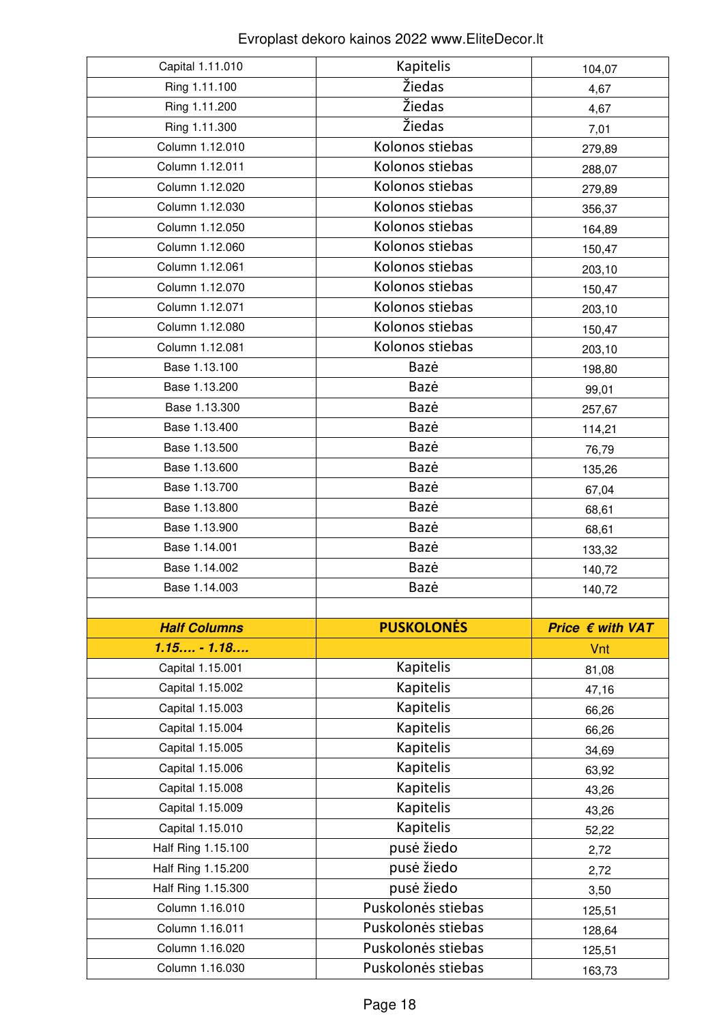| Capital 1.11.010    | Kapitelis          | 104,07                    |
|---------------------|--------------------|---------------------------|
| Ring 1.11.100       | Žiedas             | 4,67                      |
| Ring 1.11.200       | Žiedas             | 4,67                      |
| Ring 1.11.300       | Žiedas             | 7,01                      |
| Column 1.12.010     | Kolonos stiebas    | 279,89                    |
| Column 1.12.011     | Kolonos stiebas    | 288,07                    |
| Column 1.12.020     | Kolonos stiebas    | 279,89                    |
| Column 1.12.030     | Kolonos stiebas    | 356,37                    |
| Column 1.12.050     | Kolonos stiebas    | 164,89                    |
| Column 1.12.060     | Kolonos stiebas    | 150,47                    |
| Column 1.12.061     | Kolonos stiebas    | 203,10                    |
| Column 1.12.070     | Kolonos stiebas    | 150,47                    |
| Column 1.12.071     | Kolonos stiebas    | 203,10                    |
| Column 1.12.080     | Kolonos stiebas    | 150,47                    |
| Column 1.12.081     | Kolonos stiebas    | 203,10                    |
| Base 1.13.100       | Bazė               | 198,80                    |
| Base 1.13.200       | Bazė               | 99,01                     |
| Base 1.13.300       | Bazė               | 257,67                    |
| Base 1.13.400       | Bazė               | 114,21                    |
| Base 1.13.500       | Bazė               | 76,79                     |
| Base 1.13.600       | Bazė               | 135,26                    |
| Base 1.13.700       | Bazė               | 67,04                     |
| Base 1.13.800       | Bazė               | 68,61                     |
| Base 1.13.900       | Bazė               | 68,61                     |
| Base 1.14.001       | Bazė               | 133,32                    |
| Base 1.14.002       | Bazė               | 140,72                    |
| Base 1.14.003       | Bazė               | 140,72                    |
|                     |                    |                           |
| <b>Half Columns</b> | <b>PUSKOLONĖS</b>  | Price $\epsilon$ with VAT |
| $1.15 - 1.18$       |                    | Vnt                       |
| Capital 1.15.001    | <b>Kapitelis</b>   | 81,08                     |
| Capital 1.15.002    | <b>Kapitelis</b>   | 47,16                     |
| Capital 1.15.003    | <b>Kapitelis</b>   |                           |
|                     |                    | 66,26                     |
| Capital 1.15.004    | Kapitelis          | 66,26                     |
| Capital 1.15.005    | <b>Kapitelis</b>   | 34,69                     |
| Capital 1.15.006    | <b>Kapitelis</b>   | 63,92                     |
| Capital 1.15.008    | <b>Kapitelis</b>   | 43,26                     |
| Capital 1.15.009    | <b>Kapitelis</b>   | 43,26                     |
| Capital 1.15.010    | <b>Kapitelis</b>   | 52,22                     |
| Half Ring 1.15.100  | pusė žiedo         | 2,72                      |
| Half Ring 1.15.200  | pusė žiedo         | 2,72                      |
| Half Ring 1.15.300  | pusė žiedo         | 3,50                      |
| Column 1.16.010     | Puskolonės stiebas | 125,51                    |
| Column 1.16.011     | Puskolonės stiebas | 128,64                    |
| Column 1.16.020     | Puskolonės stiebas | 125,51                    |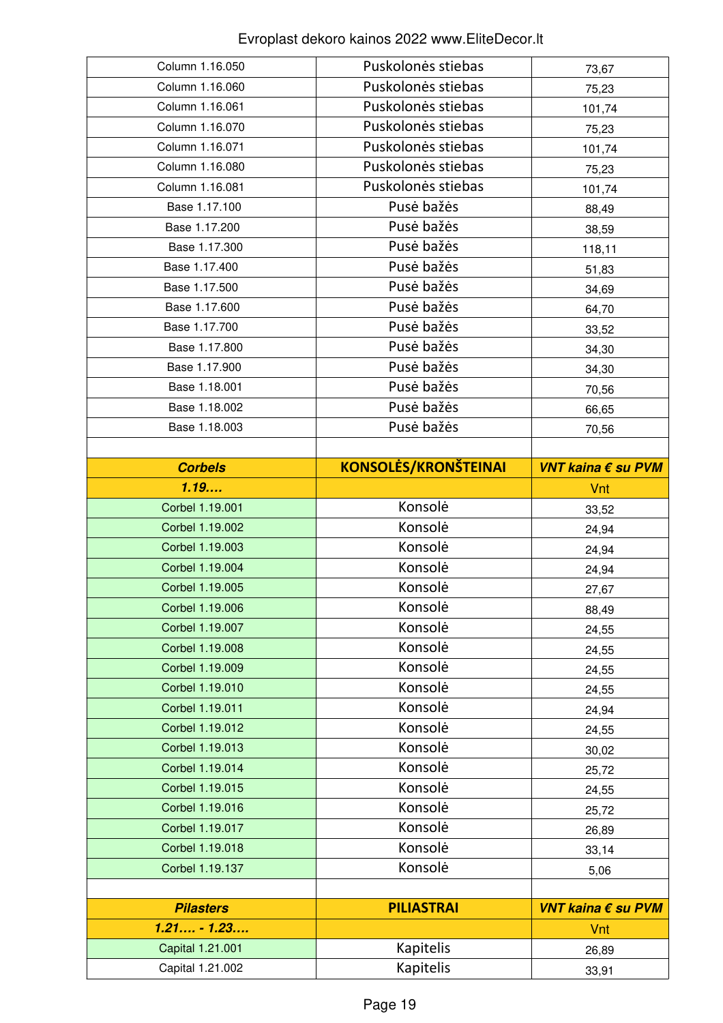| Column 1.16.050                      | Puskolonės stiebas            | 73,67              |
|--------------------------------------|-------------------------------|--------------------|
| Column 1.16.060                      | Puskolonės stiebas            | 75,23              |
| Column 1.16.061                      | Puskolonės stiebas            | 101,74             |
| Column 1.16.070                      | Puskolonės stiebas            | 75,23              |
| Column 1.16.071                      | Puskolonės stiebas            | 101,74             |
| Column 1.16.080                      | Puskolonės stiebas            | 75,23              |
| Column 1.16.081                      | Puskolonės stiebas            | 101,74             |
| Base 1.17.100                        | Pusė bažės                    | 88,49              |
| Base 1.17.200                        | Pusė bažės                    | 38,59              |
| Base 1.17.300                        | Pusė bažės                    | 118,11             |
| Base 1.17.400                        | Pusė bažės                    | 51,83              |
| Base 1.17.500                        | Pusė bažės                    | 34,69              |
| Base 1.17.600                        | Pusė bažės                    | 64,70              |
| Base 1.17.700                        | Pusė bažės                    | 33,52              |
| Base 1.17.800                        | Pusė bažės                    | 34,30              |
| Base 1.17.900                        | Pusė bažės                    | 34,30              |
| Base 1.18.001                        | Pusė bažės                    | 70,56              |
| Base 1.18.002                        | Pusė bažės                    | 66,65              |
| Base 1.18.003                        | Pusė bažės                    | 70,56              |
|                                      |                               |                    |
| <b>Corbels</b>                       | <b>KONSOLĖS/KRONŠTEINAI</b>   | VNT kaina € su PVM |
| 1.19                                 |                               | Vnt                |
| Corbel 1.19.001                      | Konsolė                       | 33,52              |
|                                      |                               |                    |
| Corbel 1.19.002                      | Konsolė                       | 24,94              |
| Corbel 1.19.003                      | Konsolė                       | 24,94              |
| Corbel 1.19.004                      | Konsolė                       | 24,94              |
| Corbel 1.19.005                      | Konsolė                       | 27,67              |
| Corbel 1.19.006                      | Konsolė                       | 88,49              |
| Corbel 1.19.007                      | Konsolė                       | 24,55              |
| Corbel 1.19.008                      | Konsolė                       | 24,55              |
| Corbel 1.19.009                      | Konsolė                       | 24,55              |
| Corbel 1.19.010                      | Konsolė                       | 24,55              |
| Corbel 1.19.011                      | Konsolė                       | 24,94              |
| Corbel 1.19.012                      | Konsolė                       | 24,55              |
| Corbel 1.19.013                      | Konsolė                       | 30,02              |
| Corbel 1.19.014                      | Konsolė                       | 25,72              |
| Corbel 1.19.015                      | Konsolė                       | 24,55              |
| Corbel 1.19.016                      | Konsolė                       | 25,72              |
| Corbel 1.19.017                      | Konsolė                       | 26,89              |
| Corbel 1.19.018                      | Konsolė                       | 33,14              |
| Corbel 1.19.137                      | Konsolė                       | 5,06               |
|                                      |                               |                    |
| <b>Pilasters</b>                     | <b>PILIASTRAI</b>             | VNT kaina € su PVM |
| $1.21 - 1.23$                        |                               | Vnt                |
| Capital 1.21.001<br>Capital 1.21.002 | Kapitelis<br><b>Kapitelis</b> | 26,89              |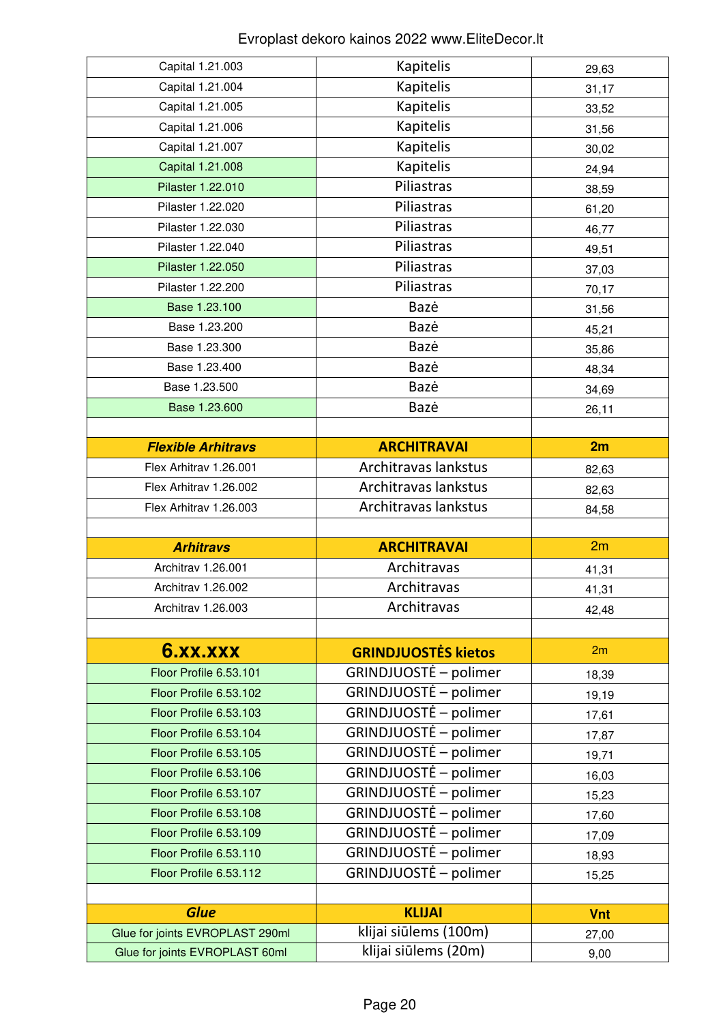| Capital 1.21.003                                                  | Kapitelis                                     | 29,63      |
|-------------------------------------------------------------------|-----------------------------------------------|------------|
| Capital 1.21.004                                                  | Kapitelis                                     | 31,17      |
| Capital 1.21.005                                                  | Kapitelis                                     | 33,52      |
| Capital 1.21.006                                                  | Kapitelis                                     | 31,56      |
| Capital 1.21.007                                                  | Kapitelis                                     | 30,02      |
| Capital 1.21.008                                                  | Kapitelis                                     | 24,94      |
| Pilaster 1.22.010                                                 | Piliastras                                    | 38,59      |
| Pilaster 1.22.020                                                 | Piliastras                                    | 61,20      |
| Pilaster 1.22.030                                                 | Piliastras                                    | 46,77      |
| Pilaster 1.22.040                                                 | Piliastras                                    | 49,51      |
| Pilaster 1.22.050                                                 | Piliastras                                    | 37,03      |
| Pilaster 1.22.200                                                 | Piliastras                                    | 70,17      |
| Base 1.23.100                                                     | Bazė                                          | 31,56      |
| Base 1.23.200                                                     | Bazė                                          | 45,21      |
| Base 1.23.300                                                     | Bazė                                          | 35,86      |
| Base 1.23.400                                                     | Bazė                                          | 48,34      |
| Base 1.23.500                                                     | Bazė                                          | 34,69      |
| Base 1.23.600                                                     | Bazė                                          | 26,11      |
|                                                                   |                                               |            |
| <b>Flexible Arhitravs</b>                                         | <b>ARCHITRAVAI</b>                            | 2m         |
| Flex Arhitrav 1.26.001                                            | Architravas lankstus                          | 82,63      |
| Flex Arhitrav 1.26.002                                            | Architravas lankstus                          | 82,63      |
| Flex Arhitrav 1.26.003                                            | Architravas lankstus                          | 84,58      |
|                                                                   |                                               |            |
|                                                                   |                                               |            |
| <b>Arhitravs</b>                                                  | <b>ARCHITRAVAI</b>                            | 2m         |
| Architrav 1.26.001                                                | Architravas                                   | 41,31      |
| Architrav 1.26.002                                                | Architravas                                   | 41,31      |
| Architrav 1.26.003                                                | Architravas                                   | 42,48      |
|                                                                   |                                               |            |
| <b>6.XX.XXX</b>                                                   | <b>GRINDJUOSTĖS kietos</b>                    | 2m         |
| Floor Profile 6.53.101                                            | GRINDJUOSTĖ – polimer                         | 18,39      |
| Floor Profile 6.53.102                                            | GRINDJUOSTĖ – polimer                         | 19,19      |
| Floor Profile 6.53.103                                            | GRINDJUOSTĖ – polimer                         | 17,61      |
| Floor Profile 6.53.104                                            | GRINDJUOSTĖ – polimer                         | 17,87      |
| Floor Profile 6.53.105                                            | GRINDJUOSTĖ – polimer                         | 19,71      |
| Floor Profile 6.53.106                                            | GRINDJUOSTĖ – polimer                         | 16,03      |
| Floor Profile 6.53.107                                            | GRINDJUOSTĖ – polimer                         | 15,23      |
| Floor Profile 6.53.108                                            | GRINDJUOSTĖ – polimer                         | 17,60      |
| Floor Profile 6.53.109                                            | GRINDJUOSTĖ – polimer                         | 17,09      |
| Floor Profile 6.53.110                                            | GRINDJUOSTĖ – polimer                         | 18,93      |
| Floor Profile 6.53.112                                            | GRINDJUOSTĖ – polimer                         | 15,25      |
|                                                                   |                                               |            |
| <b>Glue</b>                                                       | <b>KLIJAI</b>                                 | <b>Vnt</b> |
| Glue for joints EVROPLAST 290ml<br>Glue for joints EVROPLAST 60ml | klijai siūlems (100m)<br>klijai siūlems (20m) | 27,00      |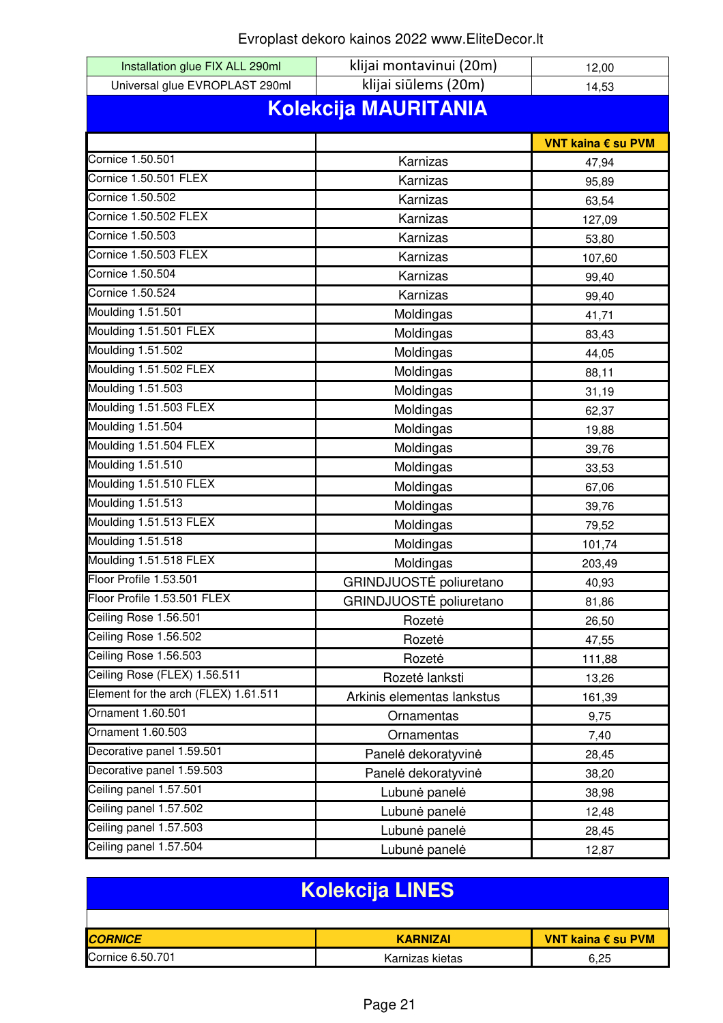| Installation glue FIX ALL 290ml      | klijai montavinui (20m)    | 12,00              |  |
|--------------------------------------|----------------------------|--------------------|--|
| Universal glue EVROPLAST 290ml       | klijai siūlems (20m)       | 14,53              |  |
| <b>Kolekcija MAURITANIA</b>          |                            |                    |  |
|                                      |                            |                    |  |
|                                      |                            | VNT kaina € su PVM |  |
| Cornice 1.50.501                     | Karnizas                   | 47,94              |  |
| Cornice 1.50.501 FLEX                | Karnizas                   | 95,89              |  |
| Cornice 1.50.502                     | Karnizas                   | 63,54              |  |
| <b>Cornice 1.50.502 FLEX</b>         | Karnizas                   | 127,09             |  |
| Cornice 1.50.503                     | Karnizas                   | 53,80              |  |
| Cornice 1.50.503 FLEX                | Karnizas                   | 107,60             |  |
| Cornice 1.50.504                     | Karnizas                   | 99,40              |  |
| Cornice 1.50.524                     | Karnizas                   | 99,40              |  |
| Moulding 1.51.501                    | Moldingas                  | 41,71              |  |
| Moulding 1.51.501 FLEX               | Moldingas                  | 83,43              |  |
| Moulding 1.51.502                    | Moldingas                  | 44,05              |  |
| Moulding 1.51.502 FLEX               | Moldingas                  | 88,11              |  |
| Moulding 1.51.503                    | Moldingas                  | 31,19              |  |
| Moulding 1.51.503 FLEX               | Moldingas                  | 62,37              |  |
| Moulding 1.51.504                    | Moldingas                  | 19,88              |  |
| Moulding 1.51.504 FLEX               | Moldingas                  | 39,76              |  |
| Moulding 1.51.510                    | Moldingas                  | 33,53              |  |
| Moulding 1.51.510 FLEX               | Moldingas                  | 67,06              |  |
| Moulding 1.51.513                    | Moldingas                  | 39,76              |  |
| Moulding 1.51.513 FLEX               | Moldingas                  | 79,52              |  |
| Moulding 1.51.518                    | Moldingas                  | 101,74             |  |
| Moulding 1.51.518 FLEX               | Moldingas                  | 203,49             |  |
| Floor Profile 1.53.501               | GRINDJUOSTĖ poliuretano    | 40,93              |  |
| Floor Profile 1.53.501 FLEX          | GRINDJUOSTE poliuretano    | 81,86              |  |
| Ceiling Rose 1.56.501                | Rozetė                     | 26,50              |  |
| Ceiling Rose 1.56.502                | Rozetė                     | 47,55              |  |
| Ceiling Rose 1.56.503                | Rozetė                     | 111,88             |  |
| Ceiling Rose (FLEX) 1.56.511         | Rozetė lanksti             | 13,26              |  |
| Element for the arch (FLEX) 1.61.511 | Arkinis elementas lankstus | 161,39             |  |
| Ornament 1.60.501                    | Ornamentas                 | 9,75               |  |
| Ornament 1.60.503                    | Ornamentas                 | 7,40               |  |
| Decorative panel 1.59.501            | Panelė dekoratyvinė        | 28,45              |  |
| Decorative panel 1.59.503            | Panelė dekoratyvinė        | 38,20              |  |
| Ceiling panel 1.57.501               | Lubunė panelė              | 38,98              |  |
| Ceiling panel 1.57.502               | Lubunė panelė              | 12,48              |  |
| Ceiling panel 1.57.503               | Lubunė panelė              | 28,45              |  |
| Ceiling panel 1.57.504               | Lubunė panelė              | 12,87              |  |

| <b>Kolekcija LINES</b> |                 |                    |
|------------------------|-----------------|--------------------|
|                        |                 |                    |
| <b>CORNICE</b>         | <b>KARNIZAI</b> | VNT kaina € su PVM |
| Cornice 6.50.701       | Karnizas kietas | 6.25               |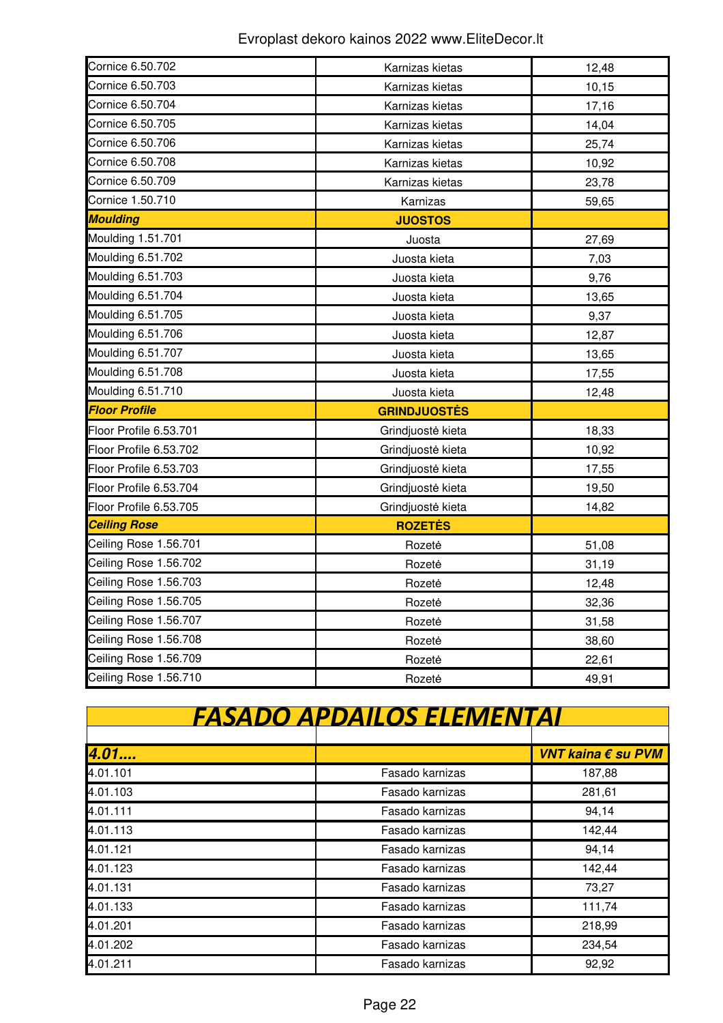| Cornice 6.50.702       | Karnizas kietas     | 12,48 |
|------------------------|---------------------|-------|
| Cornice 6.50.703       | Karnizas kietas     | 10,15 |
| Cornice 6.50.704       | Karnizas kietas     | 17,16 |
| Cornice 6.50.705       | Karnizas kietas     | 14,04 |
| Cornice 6.50.706       | Karnizas kietas     | 25,74 |
| Cornice 6.50.708       | Karnizas kietas     | 10,92 |
| Cornice 6.50.709       | Karnizas kietas     | 23,78 |
| Cornice 1.50.710       | Karnizas            | 59,65 |
| <b>Moulding</b>        | <b>JUOSTOS</b>      |       |
| Moulding 1.51.701      | Juosta              | 27,69 |
| Moulding 6.51.702      | Juosta kieta        | 7,03  |
| Moulding 6.51.703      | Juosta kieta        | 9,76  |
| Moulding 6.51.704      | Juosta kieta        | 13,65 |
| Moulding 6.51.705      | Juosta kieta        | 9,37  |
| Moulding 6.51.706      | Juosta kieta        | 12,87 |
| Moulding 6.51.707      | Juosta kieta        | 13,65 |
| Moulding 6.51.708      | Juosta kieta        | 17,55 |
| Moulding 6.51.710      | Juosta kieta        | 12,48 |
| <b>Floor Profile</b>   | <b>GRINDJUOSTĖS</b> |       |
| Floor Profile 6.53.701 | Grindjuostė kieta   | 18,33 |
| Floor Profile 6.53.702 | Grindjuostė kieta   | 10,92 |
| Floor Profile 6.53.703 | Grindjuostė kieta   | 17,55 |
| Floor Profile 6.53.704 | Grindjuostė kieta   | 19,50 |
| Floor Profile 6.53.705 | Grindjuostė kieta   | 14,82 |
| <b>Ceiling Rose</b>    | <b>ROZETES</b>      |       |
| Ceiling Rose 1.56.701  | Rozete              | 51,08 |
| Ceiling Rose 1.56.702  | Rozete              | 31,19 |
| Ceiling Rose 1.56.703  | Rozetė              | 12,48 |
| Ceiling Rose 1.56.705  | Rozetė              | 32,36 |
| Ceiling Rose 1.56.707  | Rozetė              | 31,58 |
| Ceiling Rose 1.56.708  | Rozetė              | 38,60 |
| Ceiling Rose 1.56.709  | Rozetė              | 22,61 |
| Ceiling Rose 1.56.710  | Rozetė              | 49,91 |

| <b>FASADO APDAILOS ELEMENTAI</b> |                 |                    |  |
|----------------------------------|-----------------|--------------------|--|
|                                  |                 |                    |  |
| 4.01                             |                 | VNT kaina € su PVM |  |
| 4.01.101                         | Fasado karnizas | 187,88             |  |
| 4.01.103                         | Fasado karnizas | 281,61             |  |
| 4.01.111                         | Fasado karnizas | 94,14              |  |
| 4.01.113                         | Fasado karnizas | 142,44             |  |
| 4.01.121                         | Fasado karnizas | 94,14              |  |
| 4.01.123                         | Fasado karnizas | 142,44             |  |
| 4.01.131                         | Fasado karnizas | 73,27              |  |
| 4.01.133                         | Fasado karnizas | 111,74             |  |
| 4.01.201                         | Fasado karnizas | 218,99             |  |
| 4.01.202                         | Fasado karnizas | 234,54             |  |
| 4.01.211                         | Fasado karnizas | 92,92              |  |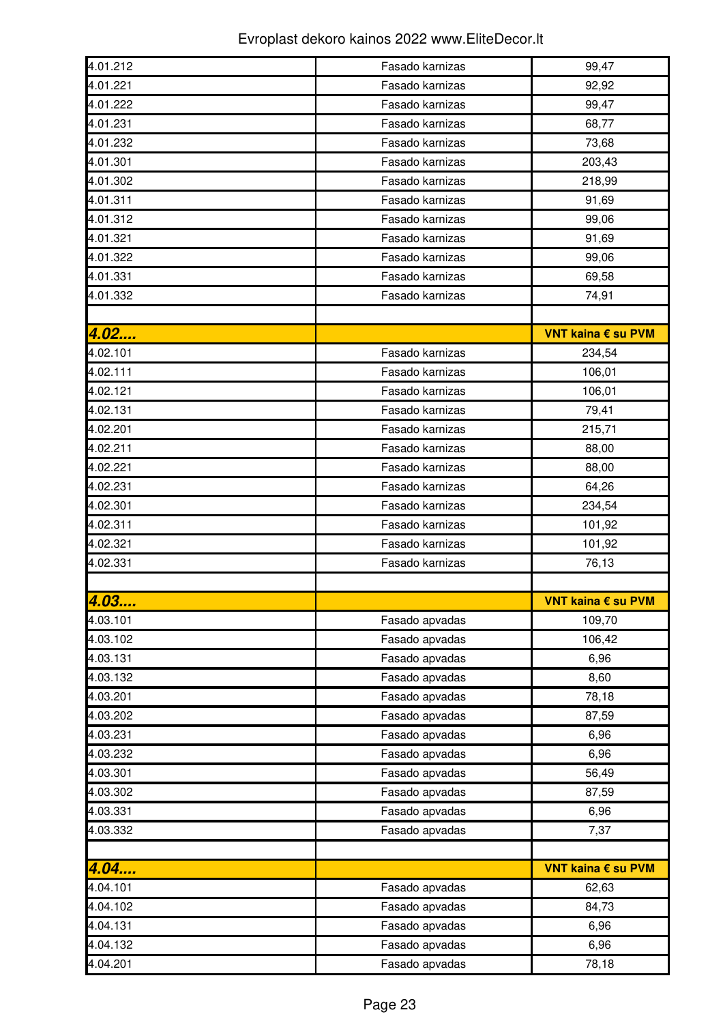| 4.01.212 | Fasado karnizas | 99,47              |
|----------|-----------------|--------------------|
| 4.01.221 | Fasado karnizas | 92,92              |
| 4.01.222 | Fasado karnizas | 99,47              |
| 4.01.231 | Fasado karnizas | 68,77              |
| 4.01.232 | Fasado karnizas | 73,68              |
| 4.01.301 | Fasado karnizas | 203,43             |
| 4.01.302 | Fasado karnizas | 218,99             |
| 4.01.311 | Fasado karnizas | 91,69              |
| 4.01.312 | Fasado karnizas | 99,06              |
| 4.01.321 | Fasado karnizas | 91,69              |
| 4.01.322 | Fasado karnizas | 99,06              |
| 4.01.331 | Fasado karnizas | 69,58              |
| 4.01.332 | Fasado karnizas | 74,91              |
|          |                 |                    |
| 4.02     |                 | VNT kaina € su PVM |
| 4.02.101 | Fasado karnizas | 234,54             |
| 4.02.111 | Fasado karnizas | 106,01             |
| 4.02.121 | Fasado karnizas | 106,01             |
| 4.02.131 | Fasado karnizas | 79,41              |
| 4.02.201 | Fasado karnizas | 215,71             |
| 4.02.211 | Fasado karnizas | 88,00              |
| 4.02.221 | Fasado karnizas | 88,00              |
| 4.02.231 | Fasado karnizas | 64,26              |
| 4.02.301 | Fasado karnizas | 234,54             |
| 4.02.311 | Fasado karnizas | 101,92             |
| 4.02.321 | Fasado karnizas | 101,92             |
| 4.02.331 | Fasado karnizas | 76,13              |
|          |                 |                    |
| 4.03     |                 | VNT kaina € su PVM |
| 4.03.101 | Fasado apvadas  | 109,70             |
| 4.03.102 | Fasado apvadas  | 106,42             |
| 4.03.131 | Fasado apvadas  | 6,96               |
| 4.03.132 | Fasado apvadas  | 8,60               |
| 4.03.201 | Fasado apvadas  | 78,18              |
| 4.03.202 | Fasado apvadas  | 87,59              |
| 4.03.231 | Fasado apvadas  | 6,96               |
| 4.03.232 | Fasado apvadas  | 6,96               |
| 4.03.301 | Fasado apvadas  | 56,49              |
| 4.03.302 | Fasado apvadas  | 87,59              |
| 4.03.331 | Fasado apvadas  | 6,96               |
| 4.03.332 | Fasado apvadas  | 7,37               |
|          |                 |                    |
| 4.04     |                 | VNT kaina € su PVM |
| 4.04.101 | Fasado apvadas  | 62,63              |
| 4.04.102 | Fasado apvadas  | 84,73              |
| 4.04.131 | Fasado apvadas  | 6,96               |
| 4.04.132 | Fasado apvadas  | 6,96               |
| 4.04.201 | Fasado apvadas  | 78,18              |
|          |                 |                    |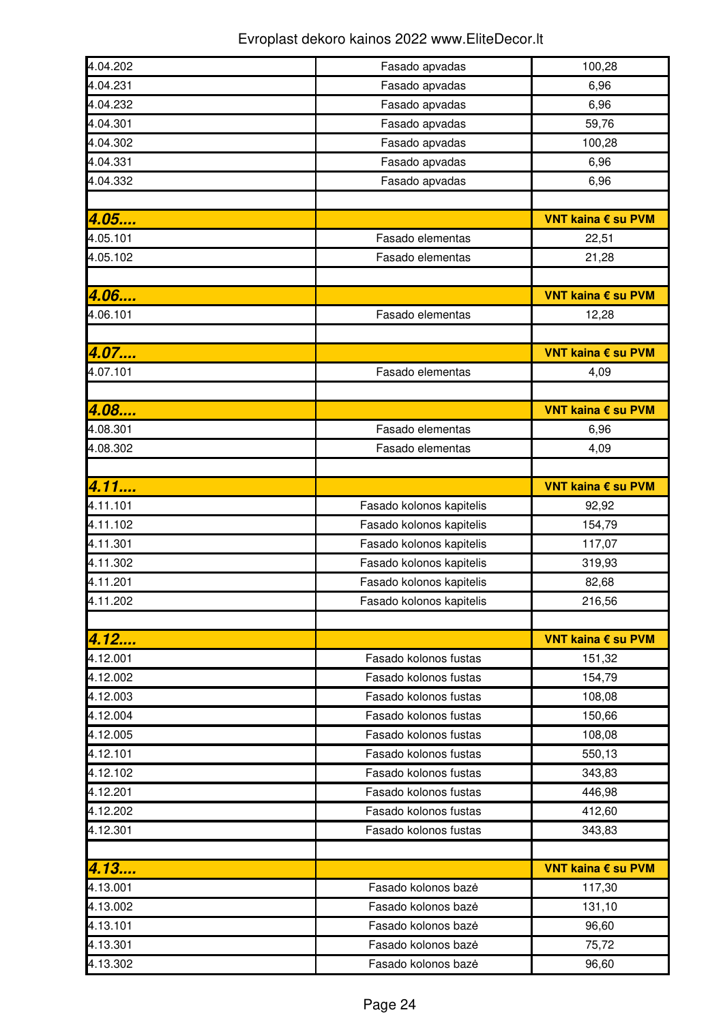| 4.04.202 | Fasado apvadas           | 100,28             |
|----------|--------------------------|--------------------|
| 4.04.231 | Fasado apvadas           | 6,96               |
| 4.04.232 | Fasado apvadas           | 6,96               |
| 4.04.301 | Fasado apvadas           | 59,76              |
| 4.04.302 | Fasado apvadas           | 100,28             |
| 4.04.331 | Fasado apvadas           | 6,96               |
| 4.04.332 | Fasado apvadas           | 6,96               |
|          |                          |                    |
| 4.05     |                          | VNT kaina € su PVM |
| 4.05.101 | Fasado elementas         | 22,51              |
| 4.05.102 | Fasado elementas         | 21,28              |
|          |                          |                    |
| 4.06     |                          | VNT kaina € su PVM |
| 4.06.101 | Fasado elementas         | 12,28              |
|          |                          |                    |
| 4.07     |                          | VNT kaina € su PVM |
| 4.07.101 | Fasado elementas         | 4,09               |
|          |                          |                    |
| 4.08     |                          | VNT kaina € su PVM |
| 4.08.301 | Fasado elementas         | 6,96               |
| 4.08.302 | Fasado elementas         | 4,09               |
|          |                          |                    |
| 4.11     |                          | VNT kaina € su PVM |
| 4.11.101 | Fasado kolonos kapitelis | 92,92              |
| 4.11.102 | Fasado kolonos kapitelis | 154,79             |
| 4.11.301 | Fasado kolonos kapitelis | 117,07             |
| 4.11.302 | Fasado kolonos kapitelis | 319,93             |
| 4.11.201 | Fasado kolonos kapitelis | 82,68              |
| 4.11.202 | Fasado kolonos kapitelis | 216,56             |
|          |                          |                    |
| 4.12     |                          | VNT kaina € su PVM |
| 4.12.001 | Fasado kolonos fustas    | 151,32             |
| 4.12.002 | Fasado kolonos fustas    | 154,79             |
| 4.12.003 | Fasado kolonos fustas    | 108,08             |
| 4.12.004 | Fasado kolonos fustas    | 150,66             |
| 4.12.005 | Fasado kolonos fustas    | 108,08             |
| 4.12.101 | Fasado kolonos fustas    | 550,13             |
| 4.12.102 | Fasado kolonos fustas    | 343,83             |
| 4.12.201 | Fasado kolonos fustas    | 446,98             |
| 4.12.202 | Fasado kolonos fustas    | 412,60             |
| 4.12.301 | Fasado kolonos fustas    | 343,83             |
|          |                          |                    |
| 4.13     |                          | VNT kaina € su PVM |
| 4.13.001 | Fasado kolonos bazė      | 117,30             |
| 4.13.002 | Fasado kolonos bazė      | 131,10             |
| 4.13.101 | Fasado kolonos bazė      | 96,60              |
| 4.13.301 | Fasado kolonos bazė      | 75,72              |
| 4.13.302 | Fasado kolonos bazė      | 96,60              |
|          |                          |                    |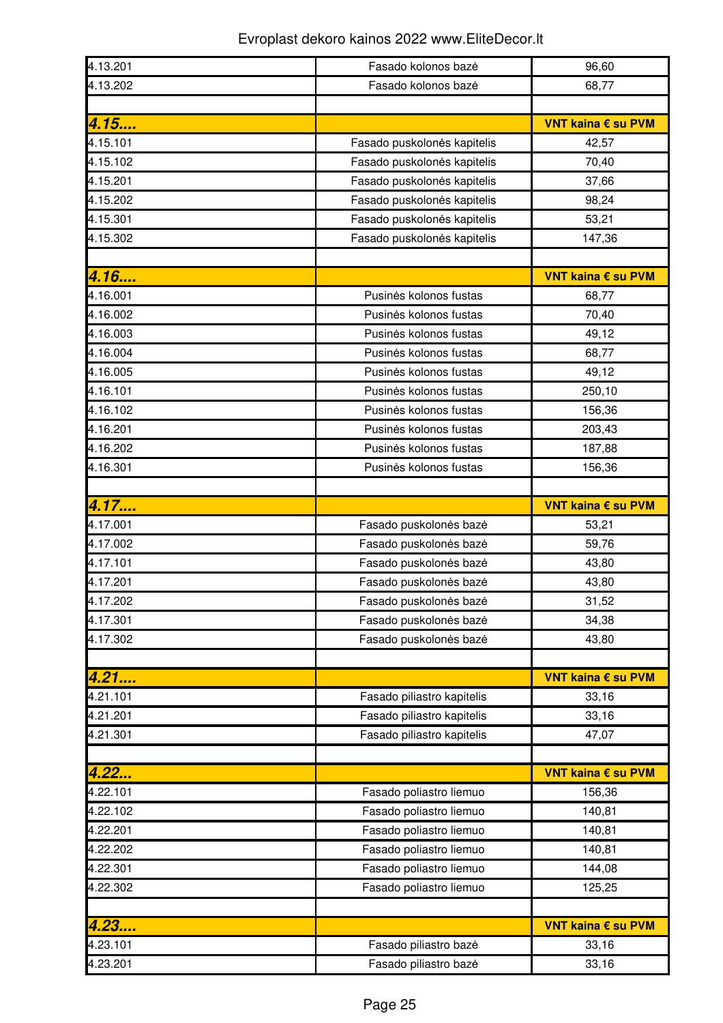| 4.13.201 | Fasado kolonos bazė         | 96,60              |
|----------|-----------------------------|--------------------|
| 4.13.202 | Fasado kolonos bazė         | 68,77              |
|          |                             |                    |
| 4.15     |                             | VNT kaina € su PVM |
| 4.15.101 | Fasado puskolonės kapitelis | 42,57              |
| 4.15.102 | Fasado puskolonės kapitelis | 70,40              |
| 4.15.201 | Fasado puskolonės kapitelis | 37,66              |
| 4.15.202 | Fasado puskolonės kapitelis | 98,24              |
| 4.15.301 | Fasado puskolonės kapitelis | 53,21              |
| 4.15.302 | Fasado puskolonės kapitelis | 147,36             |
|          |                             |                    |
| 4.16     |                             | VNT kaina € su PVM |
| 4.16.001 | Pusinės kolonos fustas      | 68,77              |
| 4.16.002 | Pusinės kolonos fustas      | 70,40              |
| 4.16.003 | Pusinės kolonos fustas      | 49,12              |
| 4.16.004 | Pusinės kolonos fustas      | 68,77              |
| 4.16.005 | Pusinės kolonos fustas      | 49,12              |
| 4.16.101 | Pusinės kolonos fustas      | 250,10             |
| 4.16.102 | Pusinės kolonos fustas      | 156,36             |
| 4.16.201 | Pusinės kolonos fustas      | 203,43             |
| 4.16.202 | Pusinės kolonos fustas      | 187,88             |
| 4.16.301 | Pusinės kolonos fustas      | 156,36             |
|          |                             |                    |
| 4.17     |                             | VNT kaina € su PVM |
| 4.17.001 | Fasado puskolonės bazė      | 53,21              |
| 4.17.002 | Fasado puskolonės bazė      | 59,76              |
| 4.17.101 | Fasado puskolonės bazė      | 43,80              |
| 4.17.201 | Fasado puskolonės bazė      | 43,80              |
| 4.17.202 | Fasado puskolonės bazė      | 31,52              |
| 4.17.301 | Fasado puskolonės bazė      | 34,38              |
| 4.17.302 | Fasado puskolonės bazė      | 43,80              |
|          |                             |                    |
| 4.21     |                             | VNT kaina € su PVM |
| 4.21.101 | Fasado piliastro kapitelis  | 33,16              |
| 4.21.201 | Fasado piliastro kapitelis  | 33,16              |
| 4.21.301 |                             |                    |
|          | Fasado piliastro kapitelis  | 47,07              |
|          |                             |                    |
| 4.22     |                             | VNT kaina € su PVM |
| 4.22.101 | Fasado poliastro liemuo     | 156,36             |
| 4.22.102 | Fasado poliastro liemuo     | 140,81             |
| 4.22.201 | Fasado poliastro liemuo     | 140,81             |
| 4.22.202 | Fasado poliastro liemuo     | 140,81             |
| 4.22.301 | Fasado poliastro liemuo     | 144,08             |
| 4.22.302 | Fasado poliastro liemuo     | 125,25             |
|          |                             |                    |
| 4.23     |                             | VNT kaina € su PVM |
| 4.23.101 | Fasado piliastro bazė       | 33,16              |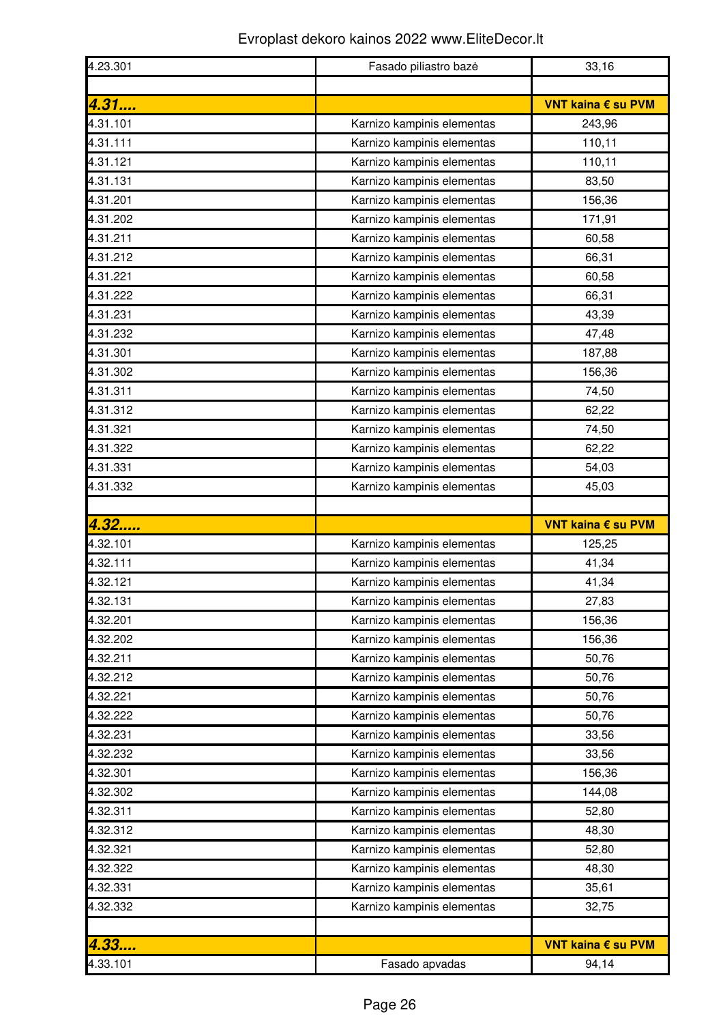| 4.23.301 | Fasado piliastro baze      | 33,16              |
|----------|----------------------------|--------------------|
|          |                            |                    |
| 4.31     |                            | VNT kaina € su PVM |
| 4.31.101 | Karnizo kampinis elementas | 243,96             |
| 4.31.111 | Karnizo kampinis elementas | 110,11             |
| 4.31.121 | Karnizo kampinis elementas | 110,11             |
| 4.31.131 | Karnizo kampinis elementas | 83,50              |
| 4.31.201 | Karnizo kampinis elementas | 156,36             |
| 4.31.202 | Karnizo kampinis elementas | 171,91             |
| 4.31.211 | Karnizo kampinis elementas | 60,58              |
| 4.31.212 | Karnizo kampinis elementas | 66,31              |
| 4.31.221 | Karnizo kampinis elementas | 60,58              |
| 4.31.222 | Karnizo kampinis elementas | 66,31              |
| 4.31.231 | Karnizo kampinis elementas | 43,39              |
| 4.31.232 | Karnizo kampinis elementas | 47,48              |
| 4.31.301 | Karnizo kampinis elementas | 187,88             |
| 4.31.302 | Karnizo kampinis elementas | 156,36             |
| 4.31.311 | Karnizo kampinis elementas | 74,50              |
| 4.31.312 | Karnizo kampinis elementas | 62,22              |
| 4.31.321 | Karnizo kampinis elementas | 74,50              |
| 4.31.322 | Karnizo kampinis elementas | 62,22              |
| 4.31.331 | Karnizo kampinis elementas | 54,03              |
| 4.31.332 | Karnizo kampinis elementas | 45,03              |
|          |                            |                    |
| 4.32     |                            | VNT kaina € su PVM |
| 4.32.101 | Karnizo kampinis elementas | 125,25             |
| 4.32.111 | Karnizo kampinis elementas | 41,34              |
| 4.32.121 | Karnizo kampinis elementas | 41,34              |
| 4.32.131 | Karnizo kampinis elementas | 27,83              |
| 4.32.201 | Karnizo kampinis elementas | 156,36             |
| 4.32.202 | Karnizo kampinis elementas | 156,36             |
| 4.32.211 | Karnizo kampinis elementas | 50,76              |
| 4.32.212 | Karnizo kampinis elementas | 50,76              |
| 4.32.221 | Karnizo kampinis elementas | 50,76              |
| 4.32.222 | Karnizo kampinis elementas | 50,76              |
| 4.32.231 | Karnizo kampinis elementas | 33,56              |
| 4.32.232 | Karnizo kampinis elementas | 33,56              |
| 4.32.301 | Karnizo kampinis elementas | 156,36             |
| 4.32.302 | Karnizo kampinis elementas | 144,08             |
| 4.32.311 | Karnizo kampinis elementas | 52,80              |
| 4.32.312 | Karnizo kampinis elementas | 48,30              |
| 4.32.321 | Karnizo kampinis elementas | 52,80              |
| 4.32.322 | Karnizo kampinis elementas | 48,30              |
| 4.32.331 | Karnizo kampinis elementas | 35,61              |
| 4.32.332 | Karnizo kampinis elementas | 32,75              |
|          |                            |                    |
| 4.33     |                            | VNT kaina € su PVM |
| 4.33.101 | Fasado apvadas             | 94,14              |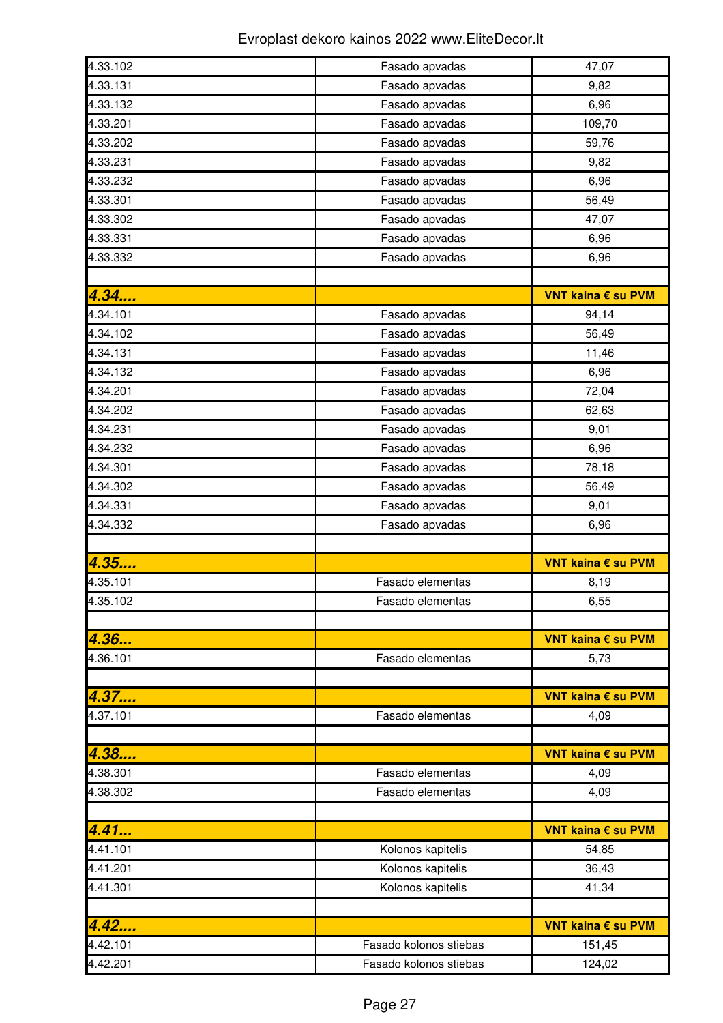| 4.33.102 | Fasado apvadas         | 47,07              |
|----------|------------------------|--------------------|
| 4.33.131 | Fasado apvadas         | 9,82               |
| 4.33.132 | Fasado apvadas         | 6,96               |
| 4.33.201 | Fasado apvadas         | 109,70             |
| 4.33.202 | Fasado apvadas         | 59,76              |
| 4.33.231 | Fasado apvadas         | 9,82               |
| 4.33.232 | Fasado apvadas         | 6,96               |
| 4.33.301 | Fasado apvadas         | 56,49              |
| 4.33.302 | Fasado apvadas         | 47,07              |
| 4.33.331 | Fasado apvadas         | 6,96               |
| 4.33.332 | Fasado apvadas         | 6,96               |
|          |                        |                    |
| 4.34     |                        | VNT kaina € su PVM |
| 4.34.101 | Fasado apvadas         | 94,14              |
| 4.34.102 | Fasado apvadas         | 56,49              |
| 4.34.131 | Fasado apvadas         | 11,46              |
| 4.34.132 | Fasado apvadas         | 6,96               |
| 4.34.201 | Fasado apvadas         | 72,04              |
| 4.34.202 | Fasado apvadas         | 62,63              |
| 4.34.231 | Fasado apvadas         | 9,01               |
| 4.34.232 | Fasado apvadas         | 6,96               |
| 4.34.301 | Fasado apvadas         | 78,18              |
| 4.34.302 | Fasado apvadas         | 56,49              |
| 4.34.331 | Fasado apvadas         | 9,01               |
| 4.34.332 | Fasado apvadas         | 6,96               |
|          |                        |                    |
| 4.35     |                        | VNT kaina € su PVM |
| 4.35.101 | Fasado elementas       | 8,19               |
| 4.35.102 | Fasado elementas       | 6,55               |
|          |                        |                    |
| 4.36     |                        | VNT kaina € su PVM |
| 4.36.101 | Fasado elementas       | 5,73               |
|          |                        |                    |
| 4.37     |                        | VNT kaina € su PVM |
| 4.37.101 | Fasado elementas       | 4,09               |
|          |                        |                    |
| 4.38     |                        | VNT kaina € su PVM |
| 4.38.301 | Fasado elementas       | 4,09               |
| 4.38.302 | Fasado elementas       | 4,09               |
|          |                        |                    |
| 4.41     |                        | VNT kaina € su PVM |
| 4.41.101 | Kolonos kapitelis      | 54,85              |
| 4.41.201 | Kolonos kapitelis      | 36,43              |
| 4.41.301 | Kolonos kapitelis      | 41,34              |
|          |                        |                    |
| 4.42     |                        | VNT kaina € su PVM |
| 4.42.101 | Fasado kolonos stiebas | 151,45             |
| 4.42.201 | Fasado kolonos stiebas | 124,02             |
|          |                        |                    |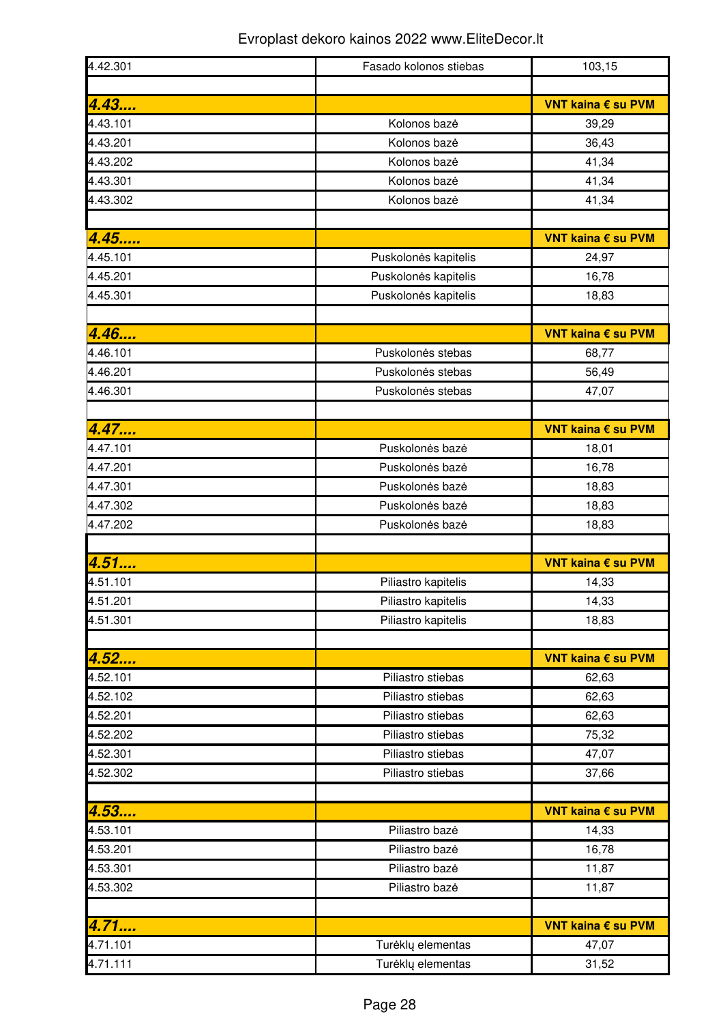| 4.42.301 | Fasado kolonos stiebas | 103,15             |
|----------|------------------------|--------------------|
|          |                        |                    |
| 4.43     |                        | VNT kaina € su PVM |
| 4.43.101 | Kolonos bazė           | 39,29              |
| 4.43.201 | Kolonos bazė           | 36,43              |
| 4.43.202 | Kolonos bazė           | 41,34              |
| 4.43.301 | Kolonos bazė           | 41,34              |
| 4.43.302 | Kolonos bazė           | 41,34              |
|          |                        |                    |
| 4.45     |                        | VNT kaina € su PVM |
| 4.45.101 | Puskolonės kapitelis   | 24,97              |
| 4.45.201 | Puskolonės kapitelis   | 16,78              |
| 4.45.301 | Puskolonės kapitelis   | 18,83              |
| 4.46     |                        | VNT kaina € su PVM |
| 4.46.101 | Puskolonės stebas      | 68,77              |
| 4.46.201 | Puskolonės stebas      | 56,49              |
| 4.46.301 | Puskolonės stebas      | 47,07              |
|          |                        |                    |
| 4.47     |                        | VNT kaina € su PVM |
| 4.47.101 | Puskolonės bazė        | 18,01              |
| 4.47.201 | Puskolonės bazė        | 16,78              |
| 4.47.301 | Puskolonės bazė        | 18,83              |
| 4.47.302 | Puskolonės bazė        | 18,83              |
| 4.47.202 | Puskolonės bazė        | 18,83              |
|          |                        |                    |
| 4.51     |                        | VNT kaina € su PVM |
| 4.51.101 | Piliastro kapitelis    | 14,33              |
| 4.51.201 | Piliastro kapitelis    | 14,33              |
| 4.51.301 | Piliastro kapitelis    | 18,83              |
|          |                        |                    |
| 4.52     |                        | VNT kaina € su PVM |
| 4.52.101 | Piliastro stiebas      | 62,63              |
| 4.52.102 | Piliastro stiebas      | 62,63              |
| 4.52.201 | Piliastro stiebas      | 62,63              |
| 4.52.202 | Piliastro stiebas      | 75,32              |
| 4.52.301 | Piliastro stiebas      | 47,07              |
| 4.52.302 | Piliastro stiebas      | 37,66              |
|          |                        |                    |
| 4.53     |                        | VNT kaina € su PVM |
| 4.53.101 | Piliastro bazė         | 14,33              |
| 4.53.201 | Piliastro bazė         | 16,78              |
| 4.53.301 | Piliastro bazė         | 11,87              |
| 4.53.302 | Piliastro bazė         | 11,87              |
|          |                        |                    |
| 4.71     |                        | VNT kaina € su PVM |
| 4.71.101 | Turėklų elementas      | 47,07              |
| 4.71.111 | Turėklų elementas      | 31,52              |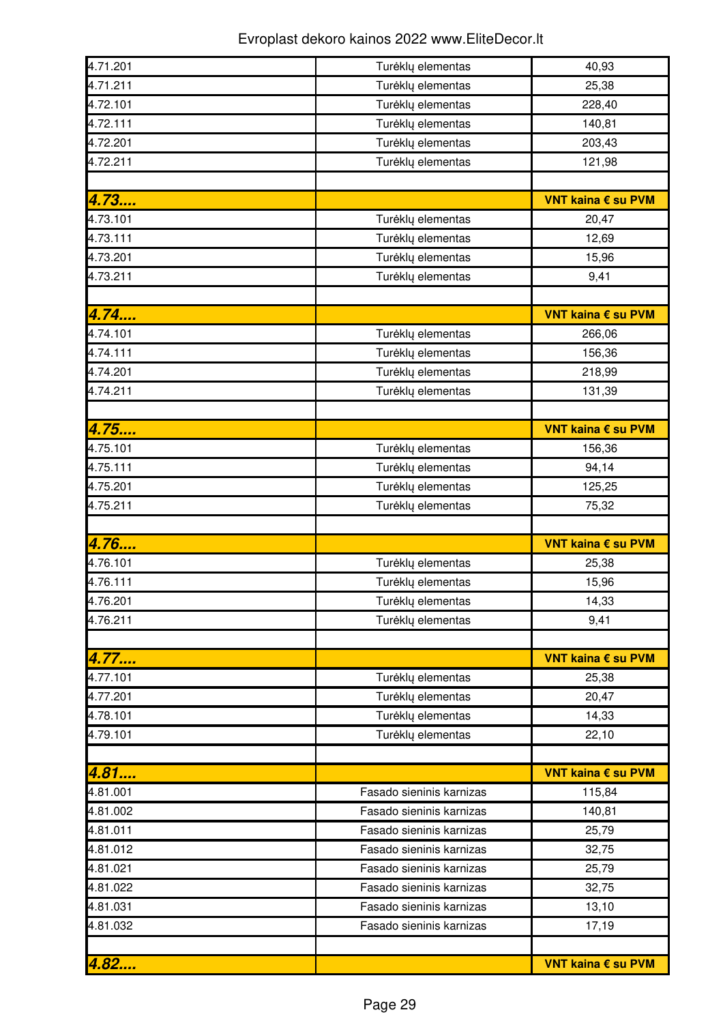| 4.71.201 | Turėklų elementas        | 40,93              |
|----------|--------------------------|--------------------|
| 4.71.211 | Turėklų elementas        | 25,38              |
| 4.72.101 | Turėklų elementas        | 228,40             |
| 4.72.111 | Turėklų elementas        | 140,81             |
| 4.72.201 | Turėklų elementas        | 203,43             |
| 4.72.211 | Turėklų elementas        | 121,98             |
|          |                          |                    |
| 4.73     |                          | VNT kaina € su PVM |
| 4.73.101 | Turėklų elementas        | 20,47              |
| 4.73.111 | Turėklų elementas        | 12,69              |
| 4.73.201 | Turėklų elementas        | 15,96              |
| 4.73.211 | Turėklų elementas        | 9,41               |
|          |                          |                    |
| 4.74     |                          | VNT kaina € su PVM |
| 4.74.101 | Turėklų elementas        | 266,06             |
| 4.74.111 | Turėklų elementas        | 156,36             |
| 4.74.201 | Turėklų elementas        | 218,99             |
| 4.74.211 | Turėklų elementas        | 131,39             |
|          |                          |                    |
| 4.75     |                          | VNT kaina € su PVM |
| 4.75.101 | Turėklų elementas        | 156,36             |
| 4.75.111 | Turėklų elementas        | 94,14              |
| 4.75.201 | Turėklų elementas        | 125,25             |
| 4.75.211 | Turėklų elementas        | 75,32              |
|          |                          |                    |
| 4.76     |                          | VNT kaina € su PVM |
| 4.76.101 | Turėklų elementas        | 25,38              |
| 4.76.111 | Turėklų elementas        | 15,96              |
| 4.76.201 |                          |                    |
|          |                          |                    |
|          | Turėklų elementas        | 14,33              |
| 4.76.211 | Turėklų elementas        | 9,41               |
|          |                          |                    |
| 4.77     |                          | VNT kaina € su PVM |
| 4.77.101 | Turėklų elementas        | 25,38              |
| 4.77.201 | Turėklų elementas        | 20,47              |
| 4.78.101 | Turėklų elementas        | 14,33              |
| 4.79.101 | Turėklų elementas        | 22,10              |
|          |                          |                    |
| 4.81     |                          | VNT kaina € su PVM |
| 4.81.001 | Fasado sieninis karnizas | 115,84             |
| 4.81.002 | Fasado sieninis karnizas | 140,81             |
| 4.81.011 | Fasado sieninis karnizas | 25,79              |
| 4.81.012 | Fasado sieninis karnizas | 32,75              |
| 4.81.021 | Fasado sieninis karnizas | 25,79              |
| 4.81.022 | Fasado sieninis karnizas | 32,75              |
| 4.81.031 | Fasado sieninis karnizas | 13,10              |
| 4.81.032 | Fasado sieninis karnizas | 17,19              |
| 4.82     |                          |                    |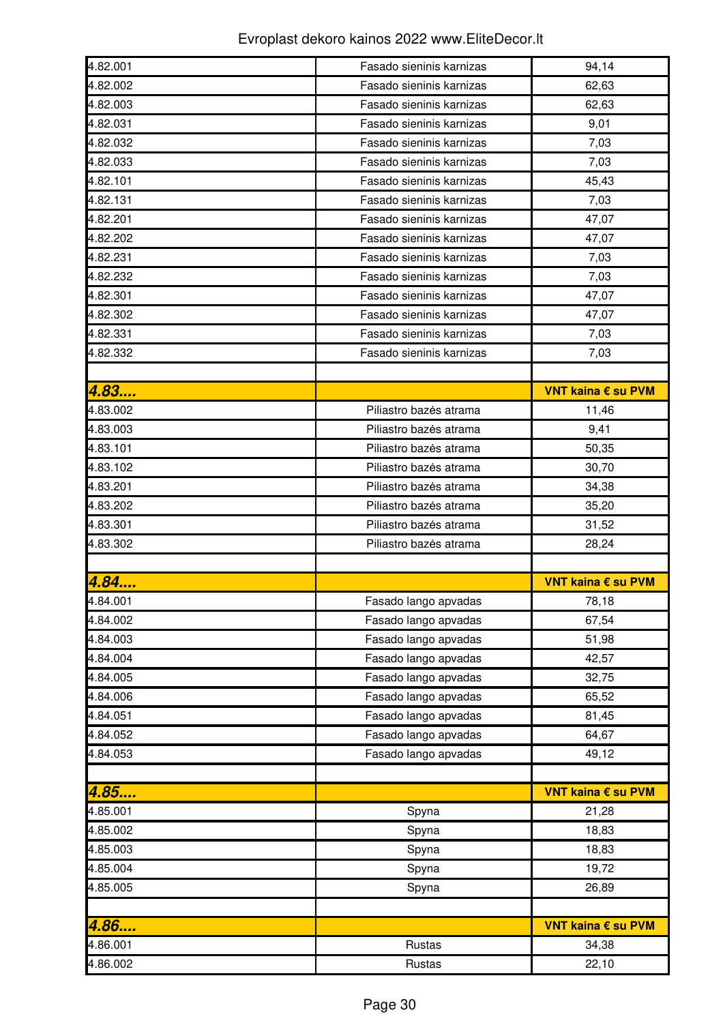| 4.82.001             | Fasado sieninis karnizas                         | 94,14              |
|----------------------|--------------------------------------------------|--------------------|
| 4.82.002             | Fasado sieninis karnizas                         | 62,63              |
| 4.82.003             | Fasado sieninis karnizas                         | 62,63              |
| 4.82.031             | Fasado sieninis karnizas                         | 9,01               |
| 4.82.032             | Fasado sieninis karnizas                         | 7,03               |
| 4.82.033             | Fasado sieninis karnizas                         | 7,03               |
| 4.82.101             | Fasado sieninis karnizas                         | 45,43              |
| 4.82.131             | Fasado sieninis karnizas                         | 7,03               |
| 4.82.201             | Fasado sieninis karnizas                         | 47,07              |
| 4.82.202             | Fasado sieninis karnizas                         | 47,07              |
| 4.82.231             | Fasado sieninis karnizas                         | 7,03               |
| 4.82.232             | Fasado sieninis karnizas                         | 7,03               |
| 4.82.301             | Fasado sieninis karnizas                         | 47,07              |
| 4.82.302             | Fasado sieninis karnizas                         | 47,07              |
| 4.82.331             | Fasado sieninis karnizas                         | 7,03               |
| 4.82.332             | Fasado sieninis karnizas                         | 7,03               |
|                      |                                                  |                    |
| 4.83                 |                                                  | VNT kaina € su PVM |
| 4.83.002             | Piliastro bazės atrama                           | 11,46              |
| 4.83.003             | Piliastro bazės atrama                           | 9,41               |
| 4.83.101             | Piliastro bazės atrama                           | 50,35              |
| 4.83.102             | Piliastro bazės atrama                           | 30,70              |
| 4.83.201             | Piliastro bazės atrama                           | 34,38              |
| 4.83.202             | Piliastro bazės atrama                           | 35,20              |
|                      |                                                  |                    |
| 4.83.301             |                                                  |                    |
|                      | Piliastro bazės atrama<br>Piliastro bazės atrama | 31,52              |
| 4.83.302             |                                                  | 28,24              |
|                      |                                                  | VNT kaina € su PVM |
| 4.84<br>4.84.001     | Fasado lango apvadas                             |                    |
| 4.84.002             |                                                  | 78,18<br>67,54     |
| 4.84.003             | Fasado lango apvadas                             |                    |
| 4.84.004             | Fasado lango apvadas                             | 51,98<br>42,57     |
| 4.84.005             | Fasado lango apvadas                             |                    |
| 4.84.006             | Fasado lango apvadas                             | 32,75              |
|                      | Fasado lango apvadas                             | 65,52              |
| 4.84.051             | Fasado lango apvadas                             | 81,45              |
| 4.84.052<br>4.84.053 | Fasado lango apvadas                             | 64,67<br>49,12     |
|                      | Fasado lango apvadas                             |                    |
|                      |                                                  | VNT kaina € su PVM |
| 4.85<br>4.85.001     |                                                  | 21,28              |
| 4.85.002             | Spyna<br>Spyna                                   | 18,83              |
| 4.85.003             |                                                  | 18,83              |
| 4.85.004             | Spyna                                            | 19,72              |
|                      | Spyna                                            |                    |
| 4.85.005             | Spyna                                            | 26,89              |
|                      |                                                  |                    |
| 4.86                 |                                                  | VNT kaina € su PVM |
| 4.86.001<br>4.86.002 | Rustas<br>Rustas                                 | 34,38<br>22,10     |